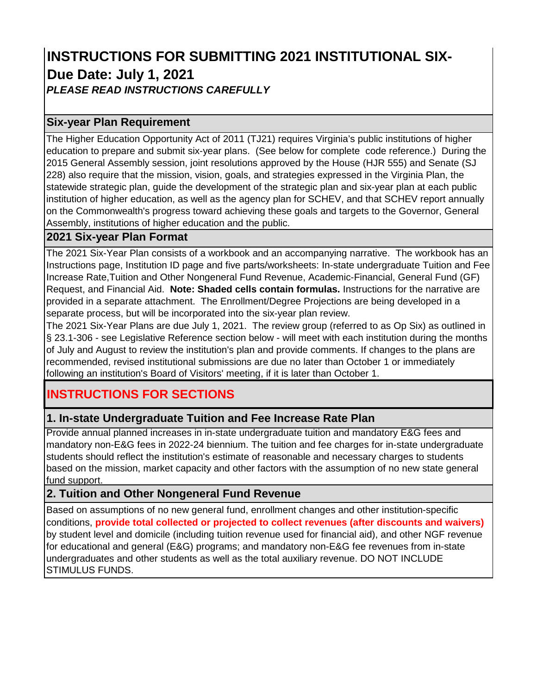# **INSTRUCTIONS FOR SUBMITTING 2021 INSTITUTIONAL SIX-Due Date: July 1, 2021**  *PLEASE READ INSTRUCTIONS CAREFULLY*

## **Six-year Plan Requirement**

The Higher Education Opportunity Act of 2011 (TJ21) requires Virginia's public institutions of higher education to prepare and submit six-year plans. (See below for complete code reference.) During the 2015 General Assembly session, joint resolutions approved by the House (HJR 555) and Senate (SJ 228) also require that the mission, vision, goals, and strategies expressed in the Virginia Plan, the statewide strategic plan, guide the development of the strategic plan and six-year plan at each public institution of higher education, as well as the agency plan for SCHEV, and that SCHEV report annually on the Commonwealth's progress toward achieving these goals and targets to the Governor, General Assembly, institutions of higher education and the public.

## **2021 Six-year Plan Format**

The 2021 Six-Year Plan consists of a workbook and an accompanying narrative. The workbook has an Instructions page, Institution ID page and five parts/worksheets: In-state undergraduate Tuition and Fee Increase Rate,Tuition and Other Nongeneral Fund Revenue, Academic-Financial, General Fund (GF) Request, and Financial Aid. **Note: Shaded cells contain formulas.** Instructions for the narrative are provided in a separate attachment. The Enrollment/Degree Projections are being developed in a separate process, but will be incorporated into the six-year plan review.

The 2021 Six-Year Plans are due July 1, 2021. The review group (referred to as Op Six) as outlined in § 23.1-306 - see Legislative Reference section below - will meet with each institution during the months of July and August to review the institution's plan and provide comments. If changes to the plans are recommended, revised institutional submissions are due no later than October 1 or immediately following an institution's Board of Visitors' meeting, if it is later than October 1.

# **INSTRUCTIONS FOR SECTIONS**

# **1. In-state Undergraduate Tuition and Fee Increase Rate Plan**

Provide annual planned increases in in-state undergraduate tuition and mandatory E&G fees and mandatory non-E&G fees in 2022-24 biennium. The tuition and fee charges for in-state undergraduate students should reflect the institution's estimate of reasonable and necessary charges to students based on the mission, market capacity and other factors with the assumption of no new state general fund support.

# **2. Tuition and Other Nongeneral Fund Revenue**

Based on assumptions of no new general fund, enrollment changes and other institution-specific conditions, **provide total collected or projected to collect revenues (after discounts and waivers)**  by student level and domicile (including tuition revenue used for financial aid), and other NGF revenue for educational and general (E&G) programs; and mandatory non-E&G fee revenues from in-state undergraduates and other students as well as the total auxiliary revenue. DO NOT INCLUDE STIMULUS FUNDS.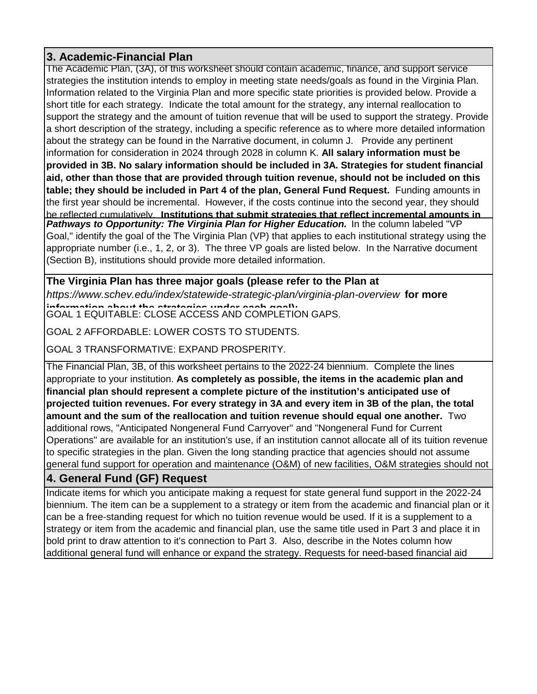# **3. Academic-Financial Plan**

The Academic Plan, (3A), of this worksheet should contain academic, finance, and support service strategies the institution intends to employ in meeting state needs/goals as found in the Virginia Plan. Information related to the Virginia Plan and more specific state priorities is provided below. Provide a short title for each strategy. Indicate the total amount for the strategy, any internal reallocation to support the strategy and the amount of tuition revenue that will be used to support the strategy. Provide a short description of the strategy, including a specific reference as to where more detailed information about the strategy can be found in the Narrative document, in column J. Provide any pertinent information for consideration in 2024 through 2028 in column K. **All salary information must be provided in 3B. No salary information should be included in 3A. Strategies for student financial aid, other than those that are provided through tuition revenue, should not be included on this table; they should be included in Part 4 of the plan, General Fund Request.** Funding amounts in the first year should be incremental. However, if the costs continue into the second year, they should be reflected cumulatively. **Institutions that submit strategies that reflect incremental amounts in Pathways to Opportunity: The Virginia Plan for Higher Education.** In the column labeled "VP Goal," identify the goal of the The Virginia Plan (VP) that applies to each institutional strategy using the appropriate number (i.e., 1, 2, or 3). The three VP goals are listed below. In the Narrative document (Section B), institutions should provide more detailed information.

# **The Virginia Plan has three major goals (please refer to the Plan at**

*https://www.schev.edu/index/statewide-strategic-plan/virginia-plan-overview* **for more information about the strategies under each goal):** GOAL 1 EQUITABLE: CLOSE ACCESS AND COMPLETION GAPS.

GOAL 2 AFFORDABLE: LOWER COSTS TO STUDENTS.

GOAL 3 TRANSFORMATIVE: EXPAND PROSPERITY.

The Financial Plan, 3B, of this worksheet pertains to the 2022-24 biennium. Complete the lines appropriate to your institution. **As completely as possible, the items in the academic plan and financial plan should represent a complete picture of the institution's anticipated use of projected tuition revenues. For every strategy in 3A and every item in 3B of the plan, the total amount and the sum of the reallocation and tuition revenue should equal one another.** Two additional rows, "Anticipated Nongeneral Fund Carryover" and "Nongeneral Fund for Current Operations" are available for an institution's use, if an institution cannot allocate all of its tuition revenue to specific strategies in the plan. Given the long standing practice that agencies should not assume general fund support for operation and maintenance (O&M) of new facilities, O&M strategies should not

# **4. General Fund (GF) Request**

Indicate items for which you anticipate making a request for state general fund support in the 2022-24 biennium. The item can be a supplement to a strategy or item from the academic and financial plan or it can be a free-standing request for which no tuition revenue would be used. If it is a supplement to a strategy or item from the academic and financial plan, use the same title used in Part 3 and place it in bold print to draw attention to it's connection to Part 3. Also, describe in the Notes column how additional general fund will enhance or expand the strategy. Requests for need-based financial aid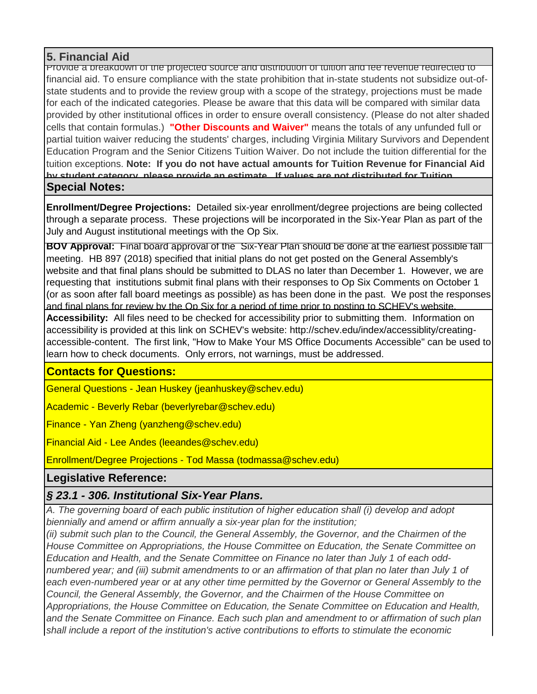## **5. Financial Aid**

Provide a breakdown of the projected source and distribution of tuition and fee revenue redirected to financial aid. To ensure compliance with the state prohibition that in-state students not subsidize out-ofstate students and to provide the review group with a scope of the strategy, projections must be made for each of the indicated categories. Please be aware that this data will be compared with similar data provided by other institutional offices in order to ensure overall consistency. (Please do not alter shaded cells that contain formulas.) **"Other Discounts and Waiver"** means the totals of any unfunded full or partial tuition waiver reducing the students' charges, including Virginia Military Survivors and Dependent Education Program and the Senior Citizens Tuition Waiver. Do not include the tuition differential for the tuition exceptions. **Note: If you do not have actual amounts for Tuition Revenue for Financial Aid by student category please provide an estimate If values are not distributed for Tuition Special Notes:**

**Enrollment/Degree Projections:** Detailed six-year enrollment/degree projections are being collected through a separate process. These projections will be incorporated in the Six-Year Plan as part of the July and August institutional meetings with the Op Six.

**BOV Approval:** Final board approval of the Six-Year Plan should be done at the earliest possible fall meeting. HB 897 (2018) specified that initial plans do not get posted on the General Assembly's website and that final plans should be submitted to DLAS no later than December 1. However, we are requesting that institutions submit final plans with their responses to Op Six Comments on October 1 (or as soon after fall board meetings as possible) as has been done in the past. We post the responses and final plans for review by the Op Six for a period of time prior to posting to SCHEV's website. **Accessibility:** All files need to be checked for accessibility prior to submitting them. Information on accessibility is provided at this link on SCHEV's website: http://schev.edu/index/accessiblity/creatingaccessible-content. The first link, "How to Make Your MS Office Documents Accessible" can be used to learn how to check documents. Only errors, not warnings, must be addressed.

## **Contacts for Questions:**

General Questions - Jean Huskey (jeanhuskey@schev.edu)

Academic - Beverly Rebar (beverlyrebar@schev.edu)

Finance - Yan Zheng (yanzheng@schev.edu)

Financial Aid - Lee Andes (leeandes@schev.edu)

Enrollment/Degree Projections - Tod Massa (todmassa@schev.edu)

## **Legislative Reference:**

# *§ 23.1 - 306. Institutional Six-Year Plans.*

*A. The governing board of each public institution of higher education shall (i) develop and adopt biennially and amend or affirm annually a six-year plan for the institution;*

*(ii) submit such plan to the Council, the General Assembly, the Governor, and the Chairmen of the House Committee on Appropriations, the House Committee on Education, the Senate Committee on Education and Health, and the Senate Committee on Finance no later than July 1 of each oddnumbered year; and (iii) submit amendments to or an affirmation of that plan no later than July 1 of each even-numbered year or at any other time permitted by the Governor or General Assembly to the Council, the General Assembly, the Governor, and the Chairmen of the House Committee on Appropriations, the House Committee on Education, the Senate Committee on Education and Health, and the Senate Committee on Finance. Each such plan and amendment to or affirmation of such plan shall include a report of the institution's active contributions to efforts to stimulate the economic*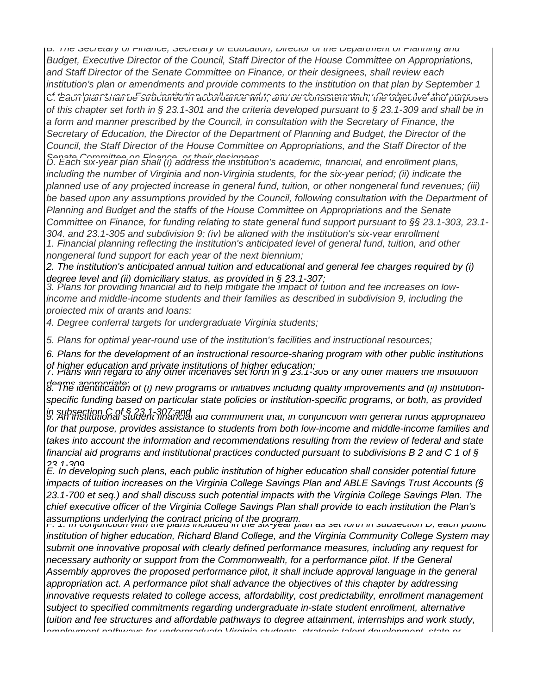*B. The Secretary of Finance, Secretary of Education, Director of the Department of Planning and Budget, Executive Director of the Council, Staff Director of the House Committee on Appropriations, and Staff Director of the Senate Committee on Finance, or their designees, shall review each institution's plan or amendments and provide comments to the institution on that plan by September 1 of the relevant year Each institution shall respond to any such comments by October 1 of that year C. Each plan shall be structured in accordance with, and be consistent with, the objective and purposes of this chapter set forth in § 23.1-301 and the criteria developed pursuant to § 23.1-309 and shall be in a form and manner prescribed by the Council, in consultation with the Secretary of Finance, the Secretary of Education, the Director of the Department of Planning and Budget, the Director of the Council, the Staff Director of the House Committee on Appropriations, and the Staff Director of the* 

*Senate Committee on Finance or their designees D. Each six-year plan shall (i) address the institution's academic, financial, and enrollment plans, including the number of Virginia and non-Virginia students, for the six-year period; (ii) indicate the planned use of any projected increase in general fund, tuition, or other nongeneral fund revenues; (iii)*  be based upon any assumptions provided by the Council, following consultation with the Department of *Planning and Budget and the staffs of the House Committee on Appropriations and the Senate Committee on Finance, for funding relating to state general fund support pursuant to §§ 23.1-303, 23.1- 304, and 23.1-305 and subdivision 9; (iv) be aligned with the institution's six-year enrollment 1. Financial planning reflecting the institution's anticipated level of general fund, tuition, and other nongeneral fund support for each year of the next biennium;*

*2. The institution's anticipated annual tuition and educational and general fee charges required by (i) degree level and (ii) domiciliary status, as provided in § 23.1-307;*

*3. Plans for providing financial aid to help mitigate the impact of tuition and fee increases on lowincome and middle-income students and their families as described in subdivision 9, including the projected mix of grants and loans;*

*4. Degree conferral targets for undergraduate Virginia students;*

*5. Plans for optimal year-round use of the institution's facilities and instructional resources;*

*6. Plans for the development of an instructional resource-sharing program with other public institutions* 

*of higher education and private institutions of higher education; 7. Plans with regard to any other incentives set forth in § 23.1-305 or any other matters the institution deems appropriate; 8. The identification of (i) new programs or initiatives including quality improvements and (ii) institution-*

*specific funding based on particular state policies or institution-specific programs, or both, as provided* 

*in subsection C of § 23.1-307;and 9. An institutional student financial aid commitment that, in conjunction with general funds appropriated for that purpose, provides assistance to students from both low-income and middle-income families and takes into account the information and recommendations resulting from the review of federal and state financial aid programs and institutional practices conducted pursuant to subdivisions B 2 and C 1 of §* 

*23 1-309 E. In developing such plans, each public institution of higher education shall consider potential future impacts of tuition increases on the Virginia College Savings Plan and ABLE Savings Trust Accounts (§ 23.1-700 et seq.) and shall discuss such potential impacts with the Virginia College Savings Plan. The chief executive officer of the Virginia College Savings Plan shall provide to each institution the Plan's*  assumptions underlying the contract pricing of the program.<br>F. 1. In conjunction with the plans included in the six-year plan as set forth in subsection D, each public

*institution of higher education, Richard Bland College, and the Virginia Community College System may submit one innovative proposal with clearly defined performance measures, including any request for necessary authority or support from the Commonwealth, for a performance pilot. If the General Assembly approves the proposed performance pilot, it shall include approval language in the general appropriation act. A performance pilot shall advance the objectives of this chapter by addressing innovative requests related to college access, affordability, cost predictability, enrollment management subject to specified commitments regarding undergraduate in-state student enrollment, alternative tuition and fee structures and affordable pathways to degree attainment, internships and work study, employment pathways for undergraduate Virginia students strategic talent development state or*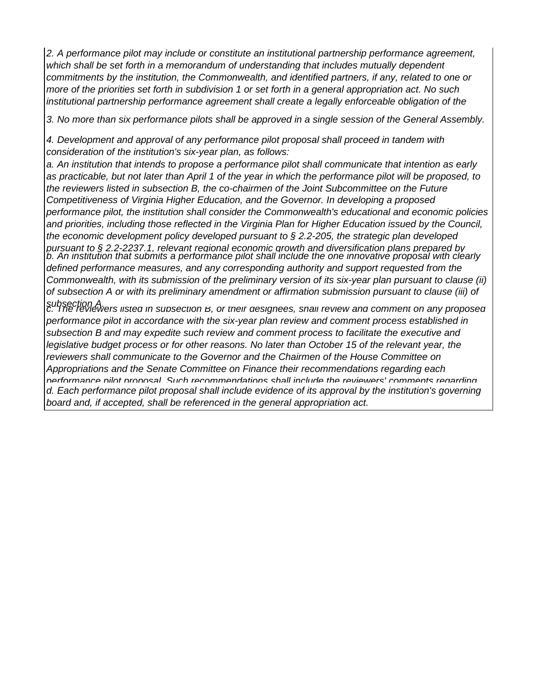*2. A performance pilot may include or constitute an institutional partnership performance agreement, which shall be set forth in a memorandum of understanding that includes mutually dependent commitments by the institution, the Commonwealth, and identified partners, if any, related to one or more of the priorities set forth in subdivision 1 or set forth in a general appropriation act. No such institutional partnership performance agreement shall create a legally enforceable obligation of the* 

*3. No more than six performance pilots shall be approved in a single session of the General Assembly.*

*4. Development and approval of any performance pilot proposal shall proceed in tandem with consideration of the institution's six-year plan, as follows:*

*a. An institution that intends to propose a performance pilot shall communicate that intention as early as practicable, but not later than April 1 of the year in which the performance pilot will be proposed, to the reviewers listed in subsection B, the co-chairmen of the Joint Subcommittee on the Future Competitiveness of Virginia Higher Education, and the Governor. In developing a proposed performance pilot, the institution shall consider the Commonwealth's educational and economic policies and priorities, including those reflected in the Virginia Plan for Higher Education issued by the Council, the economic development policy developed pursuant to § 2.2-205, the strategic plan developed pursuant to § 2.2-2237.1, relevant regional economic growth and diversification plans prepared by b. An institution that submits a performance pilot shall include the one innovative proposal with clearly defined performance measures, and any corresponding authority and support requested from the Commonwealth, with its submission of the preliminary version of its six-year plan pursuant to clause (ii) of subsection A or with its preliminary amendment or affirmation submission pursuant to clause (iii) of* 

*subsection A. c. The reviewers listed in subsection B, or their designees, shall review and comment on any proposed performance pilot in accordance with the six-year plan review and comment process established in subsection B and may expedite such review and comment process to facilitate the executive and legislative budget process or for other reasons. No later than October 15 of the relevant year, the reviewers shall communicate to the Governor and the Chairmen of the House Committee on Appropriations and the Senate Committee on Finance their recommendations regarding each performance pilot proposal Such recommendations shall include the reviewers' comments regarding d. Each performance pilot proposal shall include evidence of its approval by the institution's governing board and, if accepted, shall be referenced in the general appropriation act.*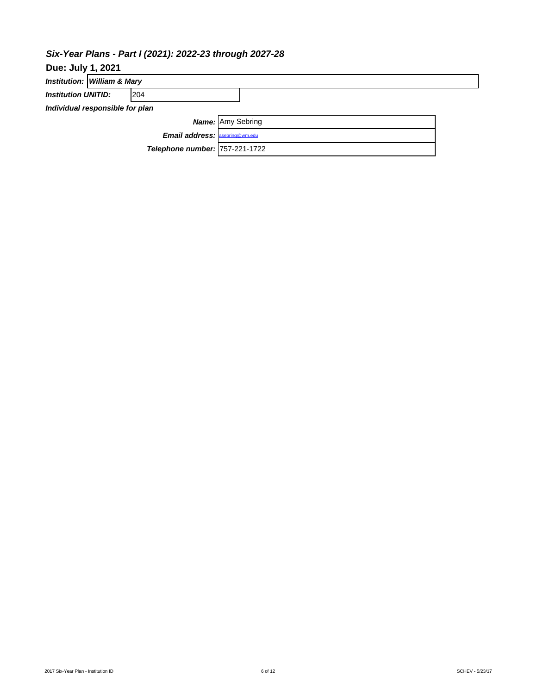# *Six-Year Plans - Part I (2021): 2022-23 through 2027-28*

| <b>Due: July 1, 2021</b>              |                             |                                |                          |  |  |  |  |  |  |  |
|---------------------------------------|-----------------------------|--------------------------------|--------------------------|--|--|--|--|--|--|--|
|                                       | Institution: William & Mary |                                |                          |  |  |  |  |  |  |  |
| <b>Institution UNITID:</b>            |                             | 204                            |                          |  |  |  |  |  |  |  |
| Individual responsible for plan       |                             |                                |                          |  |  |  |  |  |  |  |
|                                       |                             |                                | <b>Name:</b> Amy Sebring |  |  |  |  |  |  |  |
| <b>Email address: asebring@wm.edu</b> |                             |                                |                          |  |  |  |  |  |  |  |
|                                       |                             | Telephone number: 757-221-1722 |                          |  |  |  |  |  |  |  |
|                                       |                             |                                |                          |  |  |  |  |  |  |  |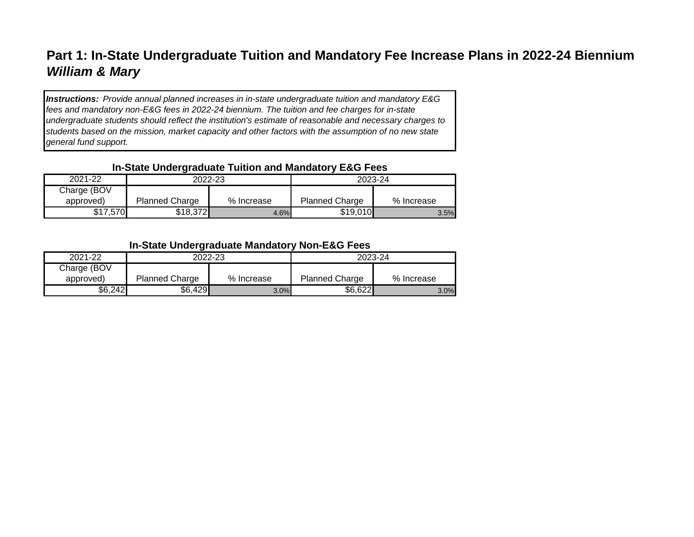# **Part 1: In-State Undergraduate Tuition and Mandatory Fee Increase Plans in 2022-24 Biennium** *William & Mary*

*Instructions: Provide annual planned increases in in-state undergraduate tuition and mandatory E&G fees and mandatory non-E&G fees in 2022-24 biennium. The tuition and fee charges for in-state undergraduate students should reflect the institution's estimate of reasonable and necessary charges to students based on the mission, market capacity and other factors with the assumption of no new state general fund support.*

# **In-State Undergraduate Tuition and Mandatory E&G Fees**

| --          |                       |            |                       |            |  |  |  |  |  |  |  |  |
|-------------|-----------------------|------------|-----------------------|------------|--|--|--|--|--|--|--|--|
| 2021-22     |                       | 2022-23    | 2023-24               |            |  |  |  |  |  |  |  |  |
| Charge (BOV |                       |            |                       |            |  |  |  |  |  |  |  |  |
| approved)   | <b>Planned Charge</b> | % Increase | <b>Planned Charge</b> | % Increase |  |  |  |  |  |  |  |  |
| \$17,570    | \$18,372              | 4.6%       | \$19,010              | 3.5%       |  |  |  |  |  |  |  |  |

# **In-State Undergraduate Mandatory Non-E&G Fees**

| 2021-22     | 2022-23               |            | 2023-24               |            |  |  |
|-------------|-----------------------|------------|-----------------------|------------|--|--|
| Charge (BOV |                       |            |                       |            |  |  |
| approved)   | <b>Planned Charge</b> | % Increase | <b>Planned Charge</b> | % Increase |  |  |
| \$6,242     | \$6,429               | 3.0%       | \$6,622               | 3.0%       |  |  |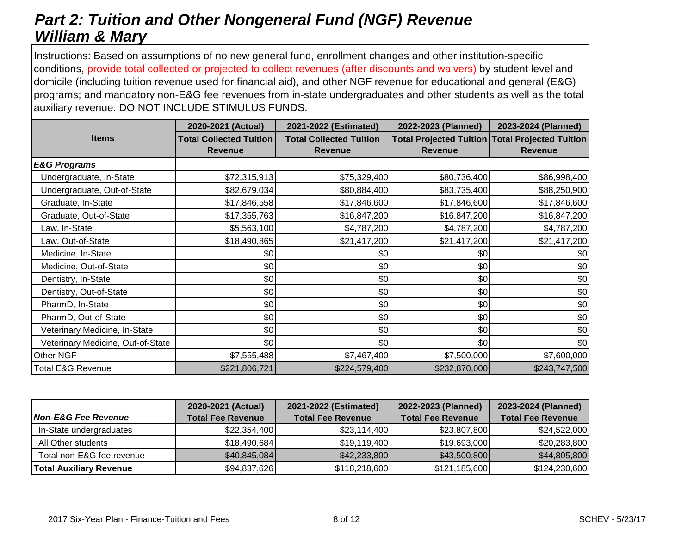# *Part 2: Tuition and Other Nongeneral Fund (NGF) Revenue William & Mary*

Instructions: Based on assumptions of no new general fund, enrollment changes and other institution-specific conditions, provide total collected or projected to collect revenues (after discounts and waivers) by student level and domicile (including tuition revenue used for financial aid), and other NGF revenue for educational and general (E&G) programs; and mandatory non-E&G fee revenues from in-state undergraduates and other students as well as the total auxiliary revenue. DO NOT INCLUDE STIMULUS FUNDS.

|                                   | 2020-2021 (Actual)                               | 2021-2022 (Estimated)                            | 2022-2023 (Planned) | 2023-2024 (Planned)                                               |
|-----------------------------------|--------------------------------------------------|--------------------------------------------------|---------------------|-------------------------------------------------------------------|
| <b>Items</b>                      | <b>Total Collected Tuition</b><br><b>Revenue</b> | <b>Total Collected Tuition</b><br><b>Revenue</b> | <b>Revenue</b>      | Total Projected Tuition Total Projected Tuition<br><b>Revenue</b> |
| <b>E&amp;G Programs</b>           |                                                  |                                                  |                     |                                                                   |
| Undergraduate, In-State           | \$72,315,913                                     | \$75,329,400                                     | \$80,736,400        | \$86,998,400                                                      |
| Undergraduate, Out-of-State       | \$82,679,034                                     | \$80,884,400                                     | \$83,735,400        | \$88,250,900                                                      |
| Graduate, In-State                | \$17,846,558                                     | \$17,846,600                                     | \$17,846,600        | \$17,846,600                                                      |
| Graduate, Out-of-State            | \$17,355,763                                     | \$16,847,200                                     | \$16,847,200        | \$16,847,200                                                      |
| Law, In-State                     | \$5,563,100                                      | \$4,787,200                                      | \$4,787,200         | \$4,787,200                                                       |
| Law, Out-of-State                 | \$18,490,865                                     | \$21,417,200                                     | \$21,417,200        | \$21,417,200                                                      |
| Medicine, In-State                | \$0                                              | \$0                                              | \$0                 | \$0                                                               |
| Medicine, Out-of-State            | \$0                                              | \$0                                              | \$0                 | \$0                                                               |
| Dentistry, In-State               | \$0                                              | \$0                                              | \$0                 | \$0                                                               |
| Dentistry, Out-of-State           | \$0                                              | \$0                                              | \$0                 | \$0                                                               |
| PharmD, In-State                  | \$0                                              | \$0                                              | \$0                 | \$0                                                               |
| PharmD, Out-of-State              | \$0                                              | \$0                                              | \$0                 | \$0                                                               |
| Veterinary Medicine, In-State     | \$0                                              | \$0                                              | \$0                 | \$0                                                               |
| Veterinary Medicine, Out-of-State | \$0                                              | \$0                                              | \$0                 | \$0                                                               |
| Other NGF                         | \$7,555,488                                      | \$7,467,400                                      | \$7,500,000         | \$7,600,000                                                       |
| <b>Total E&amp;G Revenue</b>      | \$221,806,721                                    | \$224,579,400                                    | \$232,870,000       | \$243,747,500                                                     |

|                                | 2020-2021 (Actual)       | 2021-2022 (Estimated)    | 2022-2023 (Planned)      | 2023-2024 (Planned)      |
|--------------------------------|--------------------------|--------------------------|--------------------------|--------------------------|
| <b>Non-E&amp;G Fee Revenue</b> | <b>Total Fee Revenue</b> | <b>Total Fee Revenue</b> | <b>Total Fee Revenue</b> | <b>Total Fee Revenue</b> |
| In-State undergraduates        | \$22,354,400             | \$23,114,400             | \$23,807,800             | \$24,522,000             |
| All Other students             | \$18,490,684             | \$19,119,400             | \$19,693,000             | \$20,283,800             |
| Total non-E&G fee revenue      | \$40,845,084]            | \$42,233,800             | \$43,500,800             | \$44,805,800             |
| <b>Total Auxiliary Revenue</b> | \$94,837,626             | \$118,218,600            | \$121,185,600            | \$124,230,600            |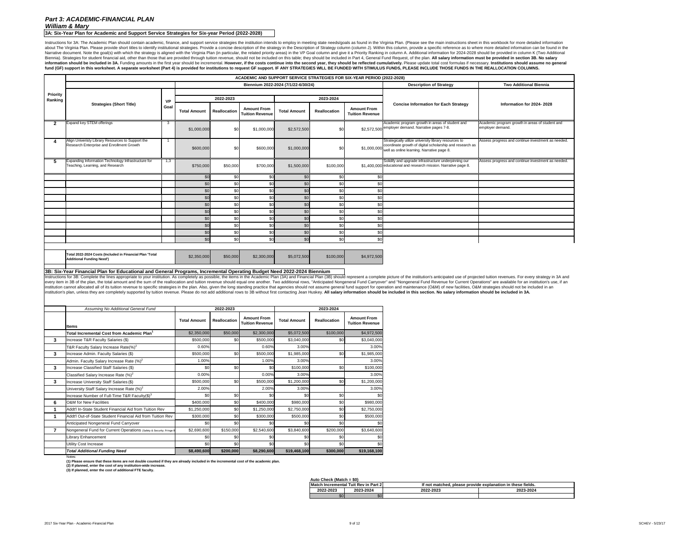**3A: Six-Year Plan for Academic and Support Service Strategies for Six-year Period (2022-2028)**

Instructions for 3A: The Academic Plan should contain academic, finance, and support service strategies the institution intends to employ in meeting state needs/goals as found in the Virginia Plan. (Please see the main ins about The Virginia Plan. Please provide short titles to identify institutional strategies. Provide a concise description of the strategy in the Description of Strategy column (column J). Within this column, provide a speci Narrative document. Note the goal(s) with which the strategy is aligned with the Virginia Plan (in particular, the related priority areas) in the VP Goal column and give it a Priority Ranking in column A. Additional inform Biennia). Strategies for student financial aid, other than those that are provided through tuition revenue, should not be included on this table; they should be included in Part 4, General Fund Request, of the plan. All sa information should be included in 3A. Funding amounts in the first year should be incremental. However, if the costs continue into the second year, they should be reflected cumulatively. Please update total cost formulas i fund (GF) support in this worksheet. A separate worksheet (Part 4) is provided for institutions to request GF support. IF ANY STRATEGIES WILL BE FUNDED WITH STIMULUS FUNDS, PLEASE INCLUDE THOSE FUNDS IN THE REALLOCATION CO

# *Part 3: ACADEMIC-FINANCIAL PLAN William & Mary*

**Auto Check (Match = \$0)**

|                 |                                                                                                                                                                                                                                                                                                                                                                                                                                                                                                                                                                                                                                                                                                                                                                                                                                                                                                                                      |           |                                     |                     |                                              |                     |                     | ACADEMIC AND SUPPORT SERVICE STRATEGIES FOR SIX-YEAR PERIOD (2022-2028) |                                                                                                                                                                             |                                                                     |
|-----------------|--------------------------------------------------------------------------------------------------------------------------------------------------------------------------------------------------------------------------------------------------------------------------------------------------------------------------------------------------------------------------------------------------------------------------------------------------------------------------------------------------------------------------------------------------------------------------------------------------------------------------------------------------------------------------------------------------------------------------------------------------------------------------------------------------------------------------------------------------------------------------------------------------------------------------------------|-----------|-------------------------------------|---------------------|----------------------------------------------|---------------------|---------------------|-------------------------------------------------------------------------|-----------------------------------------------------------------------------------------------------------------------------------------------------------------------------|---------------------------------------------------------------------|
|                 |                                                                                                                                                                                                                                                                                                                                                                                                                                                                                                                                                                                                                                                                                                                                                                                                                                                                                                                                      |           | Biennium 2022-2024 (7/1/22-6/30/24) |                     |                                              |                     |                     |                                                                         | <b>Description of Strategy</b>                                                                                                                                              | <b>Two Additional Biennia</b>                                       |
| <b>Priority</b> |                                                                                                                                                                                                                                                                                                                                                                                                                                                                                                                                                                                                                                                                                                                                                                                                                                                                                                                                      |           |                                     |                     |                                              |                     |                     |                                                                         |                                                                                                                                                                             |                                                                     |
| Ranking         |                                                                                                                                                                                                                                                                                                                                                                                                                                                                                                                                                                                                                                                                                                                                                                                                                                                                                                                                      | <b>VP</b> |                                     | 2022-2023           |                                              |                     | 2023-2024           |                                                                         |                                                                                                                                                                             |                                                                     |
|                 | <b>Strategies (Short Title)</b>                                                                                                                                                                                                                                                                                                                                                                                                                                                                                                                                                                                                                                                                                                                                                                                                                                                                                                      | Goal      | <b>Total Amount</b>                 | <b>Reallocation</b> | <b>Amount From</b><br><b>Tuition Revenue</b> | <b>Total Amount</b> | <b>Reallocation</b> | <b>Amount From</b><br><b>Tuition Revenue</b>                            | <b>Concise Information for Each Strategy</b>                                                                                                                                | Information for 2024-2028                                           |
| $\overline{2}$  | Expand key STEM offerings                                                                                                                                                                                                                                                                                                                                                                                                                                                                                                                                                                                                                                                                                                                                                                                                                                                                                                            | -3        | \$1,000,000                         | \$0                 | \$1,000,000                                  | \$2,572,500         | \$0                 |                                                                         | Academic program growth in areas of student and<br>\$2,572,500 employer demand. Narrative pages 7-8.                                                                        | Academic program growth in areas of student and<br>employer demand. |
|                 | Align Univeristy Library Resources to Support the<br><b>Research Enterprise and Enrollment Growth</b>                                                                                                                                                                                                                                                                                                                                                                                                                                                                                                                                                                                                                                                                                                                                                                                                                                |           | \$600,000                           | \$0                 | \$600,000                                    | \$1,000,000         | \$0                 |                                                                         | Strategically utilize university library resources to<br>coordinate growth of digital scholarship and research as<br>\$1,000,000 well as online learning. Narrative page 8. | Assess progress and continue investment as needed                   |
|                 | Expanding Information Technology Infrastructure for<br>Teaching, Learning, and Research                                                                                                                                                                                                                                                                                                                                                                                                                                                                                                                                                                                                                                                                                                                                                                                                                                              | 1,3       | \$750,000                           | \$50,000            | \$700,000                                    | \$1,500,000         | \$100,000           |                                                                         | Solidify and upgrade infrastructure underpinning our<br>\$1,400,000 educational and research mission. Narrative page 8.                                                     | Assess progress and continue investment as needed.                  |
|                 |                                                                                                                                                                                                                                                                                                                                                                                                                                                                                                                                                                                                                                                                                                                                                                                                                                                                                                                                      |           | \$0                                 | \$0                 | \$0l                                         | \$0                 | \$0                 | \$0                                                                     |                                                                                                                                                                             |                                                                     |
|                 |                                                                                                                                                                                                                                                                                                                                                                                                                                                                                                                                                                                                                                                                                                                                                                                                                                                                                                                                      |           | \$0                                 | \$0                 | \$0                                          | \$0                 | \$0                 | \$0                                                                     |                                                                                                                                                                             |                                                                     |
|                 |                                                                                                                                                                                                                                                                                                                                                                                                                                                                                                                                                                                                                                                                                                                                                                                                                                                                                                                                      |           | \$0                                 | \$0                 | \$0                                          | \$0                 |                     | \$0                                                                     |                                                                                                                                                                             |                                                                     |
|                 |                                                                                                                                                                                                                                                                                                                                                                                                                                                                                                                                                                                                                                                                                                                                                                                                                                                                                                                                      |           | \$0                                 | \$0                 |                                              | \$0                 | \$0                 | \$0                                                                     |                                                                                                                                                                             |                                                                     |
|                 |                                                                                                                                                                                                                                                                                                                                                                                                                                                                                                                                                                                                                                                                                                                                                                                                                                                                                                                                      |           | \$0                                 | \$0                 | \$0                                          | \$0                 | \$0                 | \$0                                                                     |                                                                                                                                                                             |                                                                     |
|                 |                                                                                                                                                                                                                                                                                                                                                                                                                                                                                                                                                                                                                                                                                                                                                                                                                                                                                                                                      |           | \$0                                 | \$0                 |                                              | \$0                 |                     | \$0                                                                     |                                                                                                                                                                             |                                                                     |
|                 |                                                                                                                                                                                                                                                                                                                                                                                                                                                                                                                                                                                                                                                                                                                                                                                                                                                                                                                                      |           | \$0                                 | \$0                 | \$0                                          | \$0                 | \$ <sub>6</sub>     | \$0                                                                     |                                                                                                                                                                             |                                                                     |
|                 |                                                                                                                                                                                                                                                                                                                                                                                                                                                                                                                                                                                                                                                                                                                                                                                                                                                                                                                                      |           | \$0                                 | \$0                 | \$0                                          | \$0                 | \$0                 | \$0                                                                     |                                                                                                                                                                             |                                                                     |
|                 |                                                                                                                                                                                                                                                                                                                                                                                                                                                                                                                                                                                                                                                                                                                                                                                                                                                                                                                                      |           | \$0                                 | \$0                 | \$0                                          | \$0                 | \$0                 | \$0                                                                     |                                                                                                                                                                             |                                                                     |
|                 |                                                                                                                                                                                                                                                                                                                                                                                                                                                                                                                                                                                                                                                                                                                                                                                                                                                                                                                                      |           | \$0                                 | \$0                 | \$0                                          | \$0                 | \$0                 | 30                                                                      |                                                                                                                                                                             |                                                                     |
|                 | Total 2022-2024 Costs (Included in Financial Plan 'Total<br><b>Additional Funding Need')</b>                                                                                                                                                                                                                                                                                                                                                                                                                                                                                                                                                                                                                                                                                                                                                                                                                                         |           | \$2,350,000                         | \$50,000            | \$2,300,000                                  | \$5,072,500         | \$100,000           | \$4,972,500                                                             |                                                                                                                                                                             |                                                                     |
|                 | 3B: Six-Year Financial Plan for Educational and General Programs, Incremental Operating Budget Need 2022-2024 Biennium                                                                                                                                                                                                                                                                                                                                                                                                                                                                                                                                                                                                                                                                                                                                                                                                               |           |                                     |                     |                                              |                     |                     |                                                                         |                                                                                                                                                                             |                                                                     |
|                 | Instructions for 3B: Complete the lines appropriate to your institution. As completely as possible, the items in the Academic Plan (3A) and Financial Plan (3B) should represent a complete picture of the institution's antic<br>every item in 3B of the plan, the total amount and the sum of the reallocation and tuition revenue should equal one another. Two additional rows, "Anticipated Nongeneral Fund Carryover" and "Nongeneral Fund Revenue for Cur<br>Institution cannot allocated all of its tuition revenue to specific strategies in the plan. Also, given the long standing practice that agencies should not assume general fund support for operation and maintenance (O&M) of<br>institution's plan, unless they are completely supported by tuition revenue. Please do not add additional rows to 3B without first contacting Jean Huskey. All salary information should be included in this section. No salar |           |                                     |                     |                                              |                     |                     |                                                                         |                                                                                                                                                                             |                                                                     |
|                 | Assuming No Additional General Fund                                                                                                                                                                                                                                                                                                                                                                                                                                                                                                                                                                                                                                                                                                                                                                                                                                                                                                  |           |                                     | 2022-2023           |                                              |                     | 2023-2024           |                                                                         |                                                                                                                                                                             |                                                                     |
|                 | <b>Items</b>                                                                                                                                                                                                                                                                                                                                                                                                                                                                                                                                                                                                                                                                                                                                                                                                                                                                                                                         |           | <b>Total Amount</b>                 | <b>Reallocation</b> | <b>Amount From</b><br><b>Tuition Revenue</b> | <b>Total Amount</b> | <b>Reallocation</b> | <b>Amount From</b><br><b>Tuition Revenue</b>                            |                                                                                                                                                                             |                                                                     |
|                 | Total Incremental Cost from Academic Plan <sup>1</sup>                                                                                                                                                                                                                                                                                                                                                                                                                                                                                                                                                                                                                                                                                                                                                                                                                                                                               |           | \$2,350,000                         | \$50,000            | \$2,300,000                                  | \$5,072,500         | \$100,000           | \$4,972,500                                                             |                                                                                                                                                                             |                                                                     |
| -3              | Increase T&R Faculty Salaries (\$)                                                                                                                                                                                                                                                                                                                                                                                                                                                                                                                                                                                                                                                                                                                                                                                                                                                                                                   |           | \$500,000                           |                     | \$500,000                                    | \$3,040,000         |                     | \$3,040,000                                                             |                                                                                                                                                                             |                                                                     |
|                 | T&R Faculty Salary Increase Rate(%) <sup>2</sup>                                                                                                                                                                                                                                                                                                                                                                                                                                                                                                                                                                                                                                                                                                                                                                                                                                                                                     |           | 0.60%                               |                     | 0.60%                                        | 3.00%               |                     | 3.00%                                                                   |                                                                                                                                                                             |                                                                     |
| -3              | Increase Admin. Faculty Salaries (\$)                                                                                                                                                                                                                                                                                                                                                                                                                                                                                                                                                                                                                                                                                                                                                                                                                                                                                                |           | \$500,000                           | \$0                 | \$500,000                                    | \$1,985,000         |                     | \$1,985,000                                                             |                                                                                                                                                                             |                                                                     |
|                 | Admin. Faculty Salary Increase Rate (%) <sup>2</sup>                                                                                                                                                                                                                                                                                                                                                                                                                                                                                                                                                                                                                                                                                                                                                                                                                                                                                 |           | 1.00%                               |                     | 1.00%                                        | 3.00%               |                     | 3.00%                                                                   |                                                                                                                                                                             |                                                                     |
|                 | Increase Classified Staff Salaries (\$)                                                                                                                                                                                                                                                                                                                                                                                                                                                                                                                                                                                                                                                                                                                                                                                                                                                                                              |           | \$0                                 | \$0                 |                                              | \$100,000           | \$ <sub>6</sub>     | \$100,000                                                               |                                                                                                                                                                             |                                                                     |
|                 | Classified Salary Increase Rate $(\%)^2$                                                                                                                                                                                                                                                                                                                                                                                                                                                                                                                                                                                                                                                                                                                                                                                                                                                                                             |           | 0.00%                               |                     | 0.00%                                        | 3.00%               |                     | 3.00%                                                                   |                                                                                                                                                                             |                                                                     |
| -3              | Increase University Staff Salaries (\$)                                                                                                                                                                                                                                                                                                                                                                                                                                                                                                                                                                                                                                                                                                                                                                                                                                                                                              |           | \$500,000                           | \$0                 | \$500,000                                    | \$1,200,000         | \$0                 | \$1,200,000                                                             |                                                                                                                                                                             |                                                                     |
|                 | University Staff Salary Increase Rate $(\%)^2$                                                                                                                                                                                                                                                                                                                                                                                                                                                                                                                                                                                                                                                                                                                                                                                                                                                                                       |           | 2.00%                               |                     | 2.00%                                        | 3.00%               |                     | 3.00%                                                                   |                                                                                                                                                                             |                                                                     |
|                 | Increase Number of Full-Time T&R Faculty(\$) $^3$                                                                                                                                                                                                                                                                                                                                                                                                                                                                                                                                                                                                                                                                                                                                                                                                                                                                                    |           | \$0                                 | \$0                 |                                              | \$0                 | \$ <sub>6</sub>     | \$C                                                                     |                                                                                                                                                                             |                                                                     |
|                 | <b>O&amp;M for New Facilities</b>                                                                                                                                                                                                                                                                                                                                                                                                                                                                                                                                                                                                                                                                                                                                                                                                                                                                                                    |           | \$400,000                           | \$0                 | \$400,000                                    | \$980,000           | \$                  | \$980,000                                                               |                                                                                                                                                                             |                                                                     |
|                 | Addt'l In-State Student Financial Aid from Tuition Rev                                                                                                                                                                                                                                                                                                                                                                                                                                                                                                                                                                                                                                                                                                                                                                                                                                                                               |           | \$1,250,000                         | \$0                 | \$1,250,000                                  | \$2,750,000         |                     | \$2,750,000                                                             |                                                                                                                                                                             |                                                                     |
|                 | Addt'l Out-of-State Student Financial Aid from Tuition Rev                                                                                                                                                                                                                                                                                                                                                                                                                                                                                                                                                                                                                                                                                                                                                                                                                                                                           |           | \$300,000                           | \$0                 | \$300,000                                    | \$500,000           |                     | \$500,000                                                               |                                                                                                                                                                             |                                                                     |
|                 | Anticipated Nongeneral Fund Carryover                                                                                                                                                                                                                                                                                                                                                                                                                                                                                                                                                                                                                                                                                                                                                                                                                                                                                                |           | \$0                                 | \$0                 |                                              |                     |                     |                                                                         |                                                                                                                                                                             |                                                                     |
|                 | Nongeneral Fund for Current Operations (Safety & Security; Fringe E                                                                                                                                                                                                                                                                                                                                                                                                                                                                                                                                                                                                                                                                                                                                                                                                                                                                  |           | \$2,690,600                         | \$150,000           | \$2,540,600                                  | \$3,840,600         | \$200,000           | \$3,640,600                                                             |                                                                                                                                                                             |                                                                     |
|                 | <b>Library Enhancement</b>                                                                                                                                                                                                                                                                                                                                                                                                                                                                                                                                                                                                                                                                                                                                                                                                                                                                                                           |           | \$0                                 | \$0                 |                                              | \$0                 |                     |                                                                         |                                                                                                                                                                             |                                                                     |
|                 | <b>Utility Cost Increase</b>                                                                                                                                                                                                                                                                                                                                                                                                                                                                                                                                                                                                                                                                                                                                                                                                                                                                                                         |           | \$0                                 | \$C                 |                                              | \$0                 |                     |                                                                         |                                                                                                                                                                             |                                                                     |
|                 | <b>Total Additional Funding Need</b>                                                                                                                                                                                                                                                                                                                                                                                                                                                                                                                                                                                                                                                                                                                                                                                                                                                                                                 |           | \$8,490,600                         | \$200,000           | \$8,290,600                                  | \$19,468,100        | \$300,000           | \$19,168,100                                                            |                                                                                                                                                                             |                                                                     |

|                        | Match Incremental Tuit Rev in Part 2 | If not matched, please provide explanation in these fields. |           |  |  |  |
|------------------------|--------------------------------------|-------------------------------------------------------------|-----------|--|--|--|
| 2022-2023<br>2023-2024 |                                      | 2022-2023                                                   | 2023-2024 |  |  |  |
| \$0                    | \$0                                  |                                                             |           |  |  |  |

**(3) If planned, enter the cost of additional FTE faculty. (2) If planned, enter the cost of any institution-wide increase.** 

**(1) Please ensure that these items are not double counted if they are already included in the incremental cost of the academic plan.**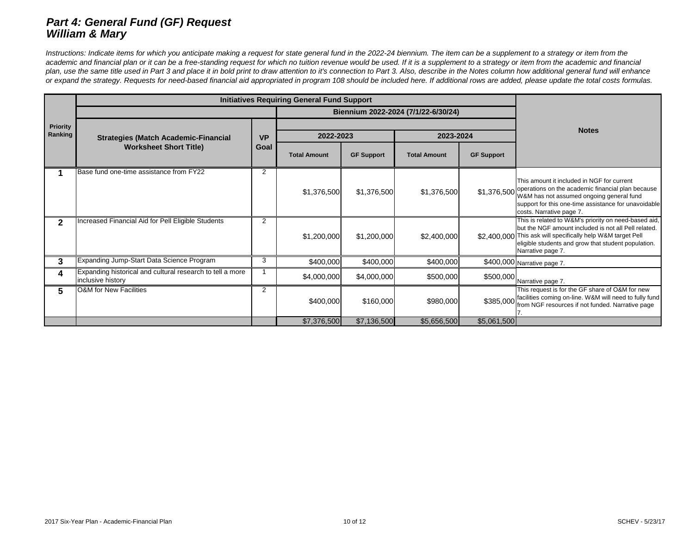# *Part 4: General Fund (GF) Request William & Mary*

Instructions: Indicate items for which you anticipate making a request for state general fund in the 2022-24 biennium. The item can be a supplement to a strategy or item from the academic and financial plan or it can be a free-standing request for which no tuition revenue would be used. If it is a supplement to a strategy or item from the academic and financial plan, use the same title used in Part 3 and place it in bold print to draw attention to it's connection to Part 3. Also, describe in the Notes column how additional general fund will enhance *or expand the strategy. Requests for need-based financial aid appropriated in program 108 should be included here. If additional rows are added, please update the total costs formulas.*

|                            | <b>Initiatives Requiring General Fund Support</b>                              |                |                     |                   |                                     |                   |                                                                                                                                                                                                                                                         |
|----------------------------|--------------------------------------------------------------------------------|----------------|---------------------|-------------------|-------------------------------------|-------------------|---------------------------------------------------------------------------------------------------------------------------------------------------------------------------------------------------------------------------------------------------------|
|                            |                                                                                |                |                     |                   | Biennium 2022-2024 (7/1/22-6/30/24) |                   |                                                                                                                                                                                                                                                         |
| <b>Priority</b><br>Ranking | <b>Strategies (Match Academic-Financial</b>                                    | <b>VP</b>      | 2022-2023           |                   | 2023-2024                           |                   | <b>Notes</b>                                                                                                                                                                                                                                            |
|                            | <b>Worksheet Short Title)</b>                                                  |                | <b>Total Amount</b> | <b>GF Support</b> | <b>Total Amount</b>                 | <b>GF Support</b> |                                                                                                                                                                                                                                                         |
|                            | Base fund one-time assistance from FY22                                        | $\overline{2}$ | \$1,376,500         | \$1,376,500       | \$1,376,500                         |                   | This amount it included in NGF for current<br>\$1,376,500 operations on the academic financial plan because<br>W&M has not assumed ongoing general fund<br>support for this one-time assistance for unavoidable<br>costs. Narrative page 7.             |
|                            | <b>Increased Financial Aid for Pell Eligible Students</b>                      | $\overline{2}$ | \$1,200,000         | \$1,200,000       | \$2,400,000                         |                   | This is related to W&M's priority on need-based aid,<br>but the NGF amount included is not all Pell related.<br>\$2,400,000 This ask will specifically help W&M target Pell<br>eligible students and grow that student population.<br>Narrative page 7. |
| $\mathbf{3}$               | Expanding Jump-Start Data Science Program                                      | 3              | \$400,000           | \$400,000         | \$400,000                           |                   | \$400,000 Narrative page 7.                                                                                                                                                                                                                             |
| 4                          | Expanding historical and cultural research to tell a more<br>inclusive history |                | \$4,000,000         | \$4,000,000       | \$500,000                           |                   | $$500,000$ Narrative page 7.                                                                                                                                                                                                                            |
| 5                          | <b>O&amp;M</b> for New Facilities                                              | 2              | \$400,000           | \$160,000         | \$980,000                           | \$385,000         | This request is for the GF share of O&M for new<br>facilities coming on-line. W&M will need to fully fund<br>from NGF resources if not funded. Narrative page                                                                                           |
|                            |                                                                                |                | \$7,376,500         | \$7,136,500       | \$5,656,500                         | \$5,061,500       |                                                                                                                                                                                                                                                         |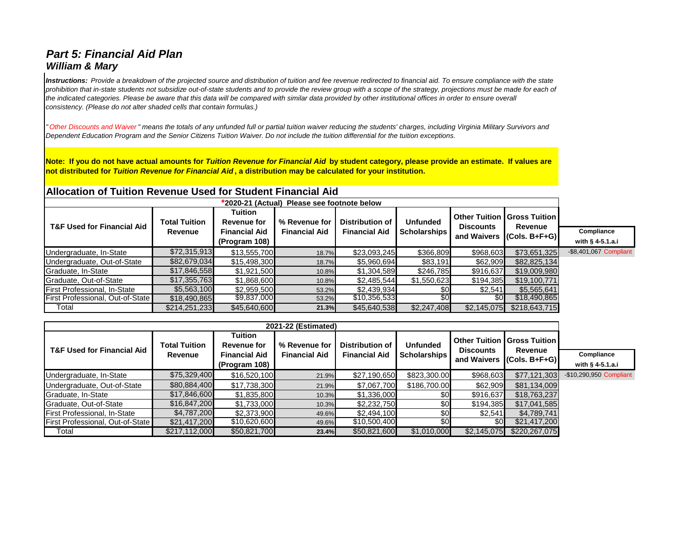# *Part 5: Financial Aid Plan William & Mary*

*Instructions: Provide a breakdown of the projected source and distribution of tuition and fee revenue redirected to financial aid. To ensure compliance with the state*  prohibition that in-state students not subsidize out-of-state students and to provide the review group with a scope of the strategy, projections must be made for each of *the indicated categories. Please be aware that this data will be compared with similar data provided by other institutional offices in order to ensure overall consistency. (Please do not alter shaded cells that contain formulas.)*

*" Other Discounts and Waiver " means the totals of any unfunded full or partial tuition waiver reducing the students' charges, including Virginia Military Survivors and Dependent Education Program and the Senior Citizens Tuition Waiver. Do not include the tuition differential for the tuition exceptions.*

**Note: If you do not have actual amounts for** *Tuition Revenue for Financial Aid* **by student category, please provide an estimate. If values are not distributed for** *Tuition Revenue for Financial Aid* **, a distribution may be calculated for your institution.** 

# **Allocation of Tuition Revenue Used for Student Financial Aid**

| *2020-21 (Actual) Please see footnote below |                      |                                                       |                      |                      |                     |                  |                                                          |                        |  |  |  |
|---------------------------------------------|----------------------|-------------------------------------------------------|----------------------|----------------------|---------------------|------------------|----------------------------------------------------------|------------------------|--|--|--|
| <b>T&amp;F Used for Financial Aid</b>       | <b>Total Tuition</b> | <b>Tuition</b><br>% Revenue for<br><b>Revenue for</b> |                      | Distribution of      | <b>Unfunded</b>     | <b>Discounts</b> | <b>Other Tuition   Gross Tuition  </b><br><b>Revenue</b> |                        |  |  |  |
|                                             | <b>Revenue</b>       | <b>Financial Aid</b>                                  | <b>Financial Aid</b> | <b>Financial Aid</b> | <b>Scholarships</b> |                  | and Waivers (Cols. B+F+G)                                | Compliance             |  |  |  |
|                                             |                      | (Program 108)                                         |                      |                      |                     |                  |                                                          | with $§$ 4-5.1.a.i     |  |  |  |
| Undergraduate, In-State                     | \$72,315,913         | \$13,555,700                                          | 18.7%                | \$23,093,245         | \$366,809           | \$968,603        | \$73,651,325                                             | -\$8,401,067 Compliant |  |  |  |
| Undergraduate, Out-of-State                 | \$82,679,034         | \$15,498,300                                          | 18.7%                | \$5,960,694          | \$83,191            | \$62,909         | \$82,825,134                                             |                        |  |  |  |
| Graduate, In-State                          | \$17,846,558         | \$1,921,500                                           | 10.8%                | \$1,304,589          | \$246,785           | \$916,637        | \$19,009,980                                             |                        |  |  |  |
| Graduate, Out-of-State                      | \$17,355,763         | \$1,868,600                                           | 10.8%                | \$2,485,544          | \$1,550,623         | \$194,385        | \$19,100,771                                             |                        |  |  |  |
| First Professional, In-State                | \$5,563,100          | \$2,959,500                                           | 53.2%                | \$2,439,934          | \$0                 | \$2,541          | \$5,565,641                                              |                        |  |  |  |
| First Professional, Out-of-State            | \$18,490,865         | \$9,837,000                                           | 53.2%                | \$10,356,533         | \$0                 | \$0 <sub>l</sub> | \$18,490,865                                             |                        |  |  |  |
| Total                                       | \$214,251,233        | \$45,640,600                                          | 21.3%                | \$45,640,538         | \$2,247,408         | \$2,145,075      | \$218,643,715                                            |                        |  |  |  |

| 2021-22 (Estimated)                   |                      |                               |                      |                                                |                 |                                 |                                                                              |                         |  |  |  |
|---------------------------------------|----------------------|-------------------------------|----------------------|------------------------------------------------|-----------------|---------------------------------|------------------------------------------------------------------------------|-------------------------|--|--|--|
| <b>T&amp;F Used for Financial Aid</b> | <b>Total Tuition</b> | Tuition<br><b>Revenue for</b> | % Revenue for        | <b>Distribution of</b><br><b>Financial Aid</b> | <b>Unfunded</b> | <b>Discounts</b><br>and Waivers | <b>Other Tuition   Gross Tuition  </b><br>Revenue<br>$  (Cols. B + F + G)  $ |                         |  |  |  |
|                                       | <b>Revenue</b>       | <b>Financial Aid</b>          | <b>Financial Aid</b> |                                                | Scholarships    |                                 |                                                                              | Compliance              |  |  |  |
|                                       |                      | (Program 108)                 |                      |                                                |                 |                                 |                                                                              | with $§$ 4-5.1.a.i      |  |  |  |
| Undergraduate, In-State               | \$75,329,400         | \$16,520,100                  | 21.9%                | \$27,190,650                                   | \$823,300.00    | \$968,603                       | \$77,121,303                                                                 | -\$10,290,950 Compliant |  |  |  |
| Undergraduate, Out-of-State           | \$80,884,400         | \$17,738,300                  | 21.9%                | \$7,067,700                                    | \$186,700.00    | \$62,909                        | \$81,134,009                                                                 |                         |  |  |  |
| Graduate, In-State                    | \$17,846,600         | \$1,835,800                   | 10.3%                | \$1,336,000                                    | \$0             | \$916,637                       | \$18,763,237                                                                 |                         |  |  |  |
| Graduate, Out-of-State                | \$16,847,200         | \$1,733,000                   | 10.3%                | \$2,232,750                                    | \$0             | \$194,385                       | \$17,041,585                                                                 |                         |  |  |  |
| First Professional, In-State          | \$4,787,200          | \$2,373,900                   | 49.6%                | \$2,494,100                                    | \$0             | \$2,541                         | \$4,789,741                                                                  |                         |  |  |  |
| First Professional, Out-of-State      | \$21,417,200         | \$10,620,600                  | 49.6%                | \$10,500,400                                   |                 | <b>\$0</b>                      | \$21,417,200                                                                 |                         |  |  |  |
| Total                                 | \$217,112,000        | \$50,821,700                  | 23.4%                | \$50,821,600                                   | \$1,010,000     | \$2,145,075                     | \$220,267,075                                                                |                         |  |  |  |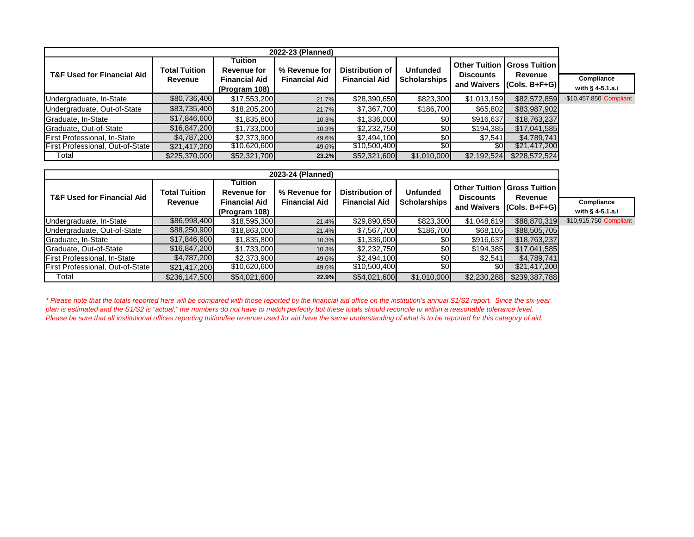| 2022-23 (Planned)                     |                      |                                                |                      |                      |                     |                  |                                        |                         |  |  |  |
|---------------------------------------|----------------------|------------------------------------------------|----------------------|----------------------|---------------------|------------------|----------------------------------------|-------------------------|--|--|--|
|                                       | <b>Total Tuition</b> | Tuition<br>% Revenue for<br><b>Revenue for</b> |                      | Distribution of      | <b>Unfunded</b>     |                  | <b>Other Tuition   Gross Tuition  </b> |                         |  |  |  |
| <b>T&amp;F Used for Financial Aid</b> | <b>Revenue</b>       | <b>Financial Aid</b>                           | <b>Financial Aid</b> | <b>Financial Aid</b> | <b>Scholarships</b> | <b>Discounts</b> | <b>Revenue</b>                         | Compliance              |  |  |  |
|                                       |                      | (Program 108)                                  |                      |                      |                     |                  | and Waivers $ $ (Cols. B+F+G) $ $      | with $\S$ 4-5.1.a.i     |  |  |  |
| Undergraduate, In-State               | \$80,736,400         | \$17,553,200                                   | 21.7%                | \$28,390,650         | \$823,300           | \$1,013,159      | \$82,572,859                           | -\$10,457,850 Compliant |  |  |  |
| Undergraduate, Out-of-State           | \$83,735,400         | \$18,205,200                                   | 21.7%                | \$7,367,700          | \$186,700           | \$65,802         | \$83,987,902                           |                         |  |  |  |
| Graduate, In-State                    | \$17,846,600         | \$1,835,800                                    | 10.3%                | \$1,336,000          | \$0                 | \$916,637        | \$18,763,237                           |                         |  |  |  |
| Graduate, Out-of-State                | \$16,847,200         | \$1,733,000                                    | 10.3%                | \$2,232,750          | \$0                 | \$194,385        | \$17,041,585                           |                         |  |  |  |
| First Professional, In-State          | \$4,787,200          | \$2,373,900                                    | 49.6%                | \$2,494,100          | \$0                 | \$2,541          | \$4,789,741                            |                         |  |  |  |
| First Professional, Out-of-State      | \$21,417,200         | \$10,620,600                                   | 49.6%                | \$10,500,400         | \$0                 | \$0 <sub>l</sub> | \$21,417,200                           |                         |  |  |  |
| Total                                 | \$225,370,000        | \$52,321,700                                   | 23.2%                | \$52,321,600         | \$1,010,000         | \$2,192,524      | \$228,572,524                          |                         |  |  |  |

| 2023-24 (Planned)                     |                      |                               |                      |                        |                 |                                          |                                          |                         |  |  |  |
|---------------------------------------|----------------------|-------------------------------|----------------------|------------------------|-----------------|------------------------------------------|------------------------------------------|-------------------------|--|--|--|
| <b>T&amp;F Used for Financial Aid</b> | <b>Total Tuition</b> | Tuition<br><b>Revenue for</b> | % Revenue for        | <b>Distribution of</b> | <b>Unfunded</b> | <b>Other Tuition</b><br><b>Discounts</b> | <b>Gross Tuition  </b><br><b>Revenue</b> |                         |  |  |  |
|                                       | <b>Revenue</b>       | <b>Financial Aid</b>          | <b>Financial Aid</b> | <b>Financial Aid</b>   | Scholarships    | and Waivers                              | $  (Cols. B + F + G)  $                  | Compliance              |  |  |  |
|                                       |                      | (Program 108)                 |                      |                        |                 |                                          |                                          | with $§$ 4-5.1.a.i      |  |  |  |
| Undergraduate, In-State               | \$86,998,400         | \$18,595,300                  | 21.4%                | \$29,890,650           | \$823,300       | \$1,048,619                              | \$88,870,319                             | -\$10,915,750 Compliant |  |  |  |
| Undergraduate, Out-of-State           | \$88,250,900         | \$18,863,000                  | 21.4%                | \$7,567,700            | \$186,700       | \$68,105                                 | \$88,505,705                             |                         |  |  |  |
| Graduate, In-State                    | \$17,846,600         | \$1,835,800                   | 10.3%                | \$1,336,000            | \$0             | \$916,637                                | \$18,763,237                             |                         |  |  |  |
| Graduate, Out-of-State                | \$16,847,200         | \$1,733,000                   | 10.3%                | \$2,232,750            | \$0             | \$194,385                                | \$17,041,585                             |                         |  |  |  |
| First Professional, In-State          | \$4,787,200          | \$2,373,900                   | 49.6%                | \$2,494,100            |                 | \$2,541                                  | \$4,789,741                              |                         |  |  |  |
| First Professional, Out-of-State      | \$21,417,200         | \$10,620,600                  | 49.6%                | \$10,500,400           |                 | \$0 <sub>l</sub>                         | \$21,417,200                             |                         |  |  |  |
| Total                                 | \$236,147,500        | \$54,021,600                  | 22.9%                | \$54,021,600           | \$1,010,000     | \$2,230,288                              | \$239,387,788                            |                         |  |  |  |

*\* Please note that the totals reported here will be compared with those reported by the financial aid office on the institution's annual S1/S2 report. Since the six-year plan is estimated and the S1/S2 is "actual," the numbers do not have to match perfectly but these totals should reconcile to within a reasonable tolerance level. Please be sure that all institutional offices reporting tuition/fee revenue used for aid have the same understanding of what is to be reported for this category of aid.*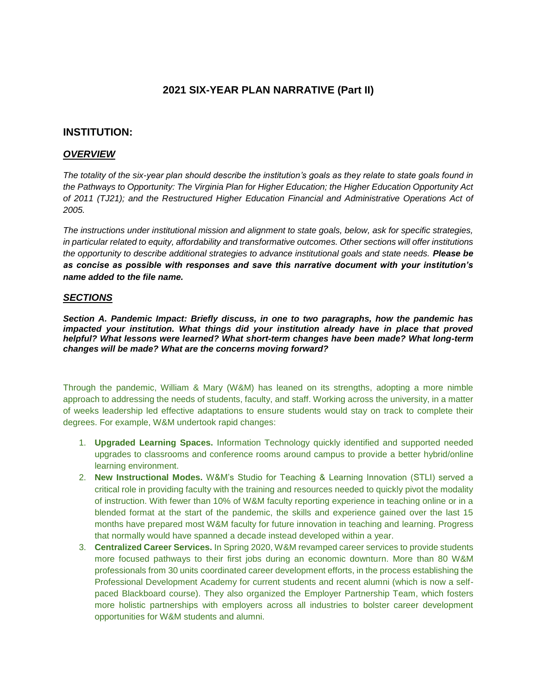### **2021 SIX-YEAR PLAN NARRATIVE (Part II)**

### **INSTITUTION:**

### *OVERVIEW*

*The totality of the six-year plan should describe the institution's goals as they relate to state goals found in the Pathways to Opportunity: The Virginia Plan for Higher Education; the Higher Education Opportunity Act of 2011 (TJ21); and the Restructured Higher Education Financial and Administrative Operations Act of 2005.*

*The instructions under institutional mission and alignment to state goals, below, ask for specific strategies, in particular related to equity, affordability and transformative outcomes. Other sections will offer institutions the opportunity to describe additional strategies to advance institutional goals and state needs. Please be as concise as possible with responses and save this narrative document with your institution's name added to the file name.*

### *SECTIONS*

*Section A. Pandemic Impact: Briefly discuss, in one to two paragraphs, how the pandemic has impacted your institution. What things did your institution already have in place that proved helpful? What lessons were learned? What short-term changes have been made? What long-term changes will be made? What are the concerns moving forward?* 

Through the pandemic, William & Mary (W&M) has leaned on its strengths, adopting a more nimble approach to addressing the needs of students, faculty, and staff. Working across the university, in a matter of weeks leadership led effective adaptations to ensure students would stay on track to complete their degrees. For example, W&M undertook rapid changes:

- 1. **Upgraded Learning Spaces.** Information Technology quickly identified and supported needed upgrades to classrooms and conference rooms around campus to provide a better hybrid/online learning environment.
- 2. **New Instructional Modes.** W&M's Studio for Teaching & Learning Innovation (STLI) served a critical role in providing faculty with the training and resources needed to quickly pivot the modality of instruction. With fewer than 10% of W&M faculty reporting experience in teaching online or in a blended format at the start of the pandemic, the skills and experience gained over the last 15 months have prepared most W&M faculty for future innovation in teaching and learning. Progress that normally would have spanned a decade instead developed within a year.
- 3. **Centralized Career Services.** In Spring 2020, W&M revamped career services to provide students more focused pathways to their first jobs during an economic downturn. More than 80 W&M professionals from 30 units coordinated career development efforts, in the process establishing the Professional Development Academy for current students and recent alumni (which is now a selfpaced Blackboard course). They also organized the Employer Partnership Team, which fosters more holistic partnerships with employers across all industries to bolster career development opportunities for W&M students and alumni.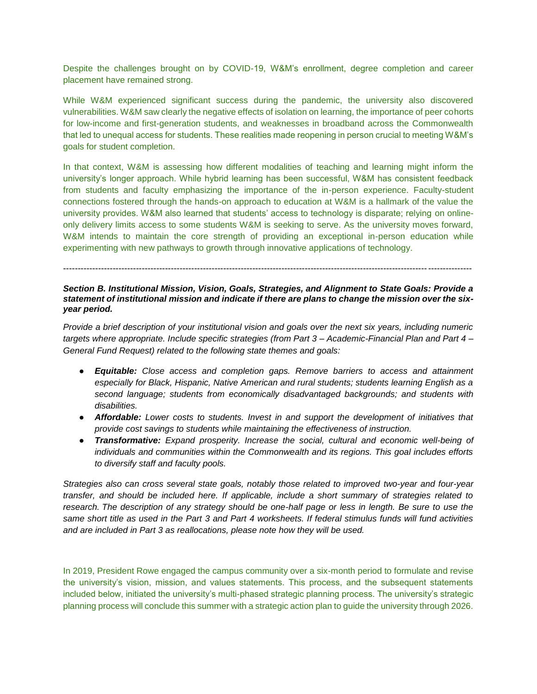Despite the challenges brought on by COVID-19, W&M's enrollment, degree completion and career placement have remained strong.

While W&M experienced significant success during the pandemic, the university also discovered vulnerabilities. W&M saw clearly the negative effects of isolation on learning, the importance of peer cohorts for low-income and first-generation students, and weaknesses in broadband across the Commonwealth that led to unequal access for students. These realities made reopening in person crucial to meeting W&M's goals for student completion.

In that context, W&M is assessing how different modalities of teaching and learning might inform the university's longer approach. While hybrid learning has been successful, W&M has consistent feedback from students and faculty emphasizing the importance of the in-person experience. Faculty-student connections fostered through the hands-on approach to education at W&M is a hallmark of the value the university provides. W&M also learned that students' access to technology is disparate; relying on onlineonly delivery limits access to some students W&M is seeking to serve. As the university moves forward, W&M intends to maintain the core strength of providing an exceptional in-person education while experimenting with new pathways to growth through innovative applications of technology.

--------------------------------------------------------------------------------------------------------------------------------------------

### *Section B. Institutional Mission, Vision, Goals, Strategies, and Alignment to State Goals: Provide a statement of institutional mission and indicate if there are plans to change the mission over the sixyear period.*

*Provide a brief description of your institutional vision and goals over the next six years, including numeric targets where appropriate. Include specific strategies (from Part 3 – Academic-Financial Plan and Part 4 – General Fund Request) related to the following state themes and goals:* 

- *Equitable: Close access and completion gaps. Remove barriers to access and attainment especially for Black, Hispanic, Native American and rural students; students learning English as a second language; students from economically disadvantaged backgrounds; and students with disabilities.*
- *Affordable: Lower costs to students. Invest in and support the development of initiatives that provide cost savings to students while maintaining the effectiveness of instruction.*
- *Transformative: Expand prosperity. Increase the social, cultural and economic well-being of individuals and communities within the Commonwealth and its regions. This goal includes efforts to diversify staff and faculty pools.*

*Strategies also can cross several state goals, notably those related to improved two-year and four-year transfer, and should be included here. If applicable, include a short summary of strategies related to research. The description of any strategy should be one-half page or less in length. Be sure to use the same short title as used in the Part 3 and Part 4 worksheets. If federal stimulus funds will fund activities and are included in Part 3 as reallocations, please note how they will be used.*

In 2019, President Rowe engaged the campus community over a six-month period to formulate and revise the university's vision, mission, and values statements. This process, and the subsequent statements included below, initiated the university's multi-phased strategic planning process. The university's strategic planning process will conclude this summer with a strategic action plan to guide the university through 2026.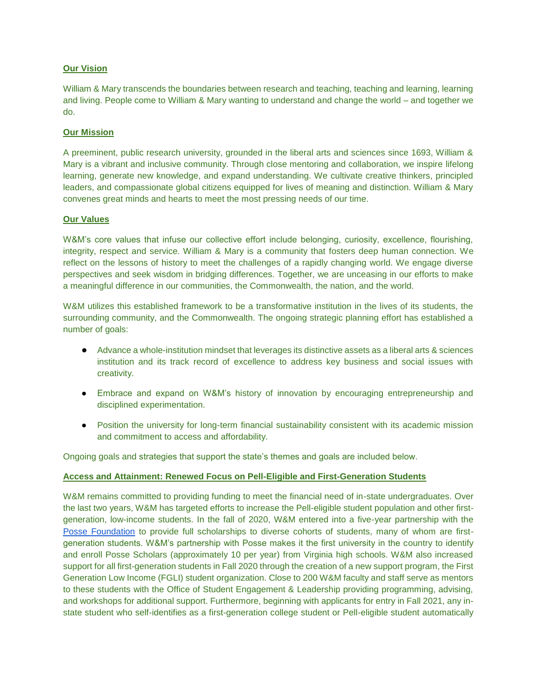### **Our Vision**

William & Mary transcends the boundaries between research and teaching, teaching and learning, learning and living. People come to William & Mary wanting to understand and change the world – and together we do.

### **Our Mission**

A preeminent, public research university, grounded in the liberal arts and sciences since 1693, William & Mary is a vibrant and inclusive community. Through close mentoring and collaboration, we inspire lifelong learning, generate new knowledge, and expand understanding. We cultivate creative thinkers, principled leaders, and compassionate global citizens equipped for lives of meaning and distinction. William & Mary convenes great minds and hearts to meet the most pressing needs of our time.

### **Our Values**

W&M's core values that infuse our collective effort include belonging, curiosity, excellence, flourishing, integrity, respect and service. William & Mary is a community that fosters deep human connection. We reflect on the lessons of history to meet the challenges of a rapidly changing world. We engage diverse perspectives and seek wisdom in bridging differences. Together, we are unceasing in our efforts to make a meaningful difference in our communities, the Commonwealth, the nation, and the world.

W&M utilizes this established framework to be a transformative institution in the lives of its students, the surrounding community, and the Commonwealth. The ongoing strategic planning effort has established a number of goals:

- Advance a whole-institution mindset that leverages its distinctive assets as a liberal arts & sciences institution and its track record of excellence to address key business and social issues with creativity.
- Embrace and expand on W&M's history of innovation by encouraging entrepreneurship and disciplined experimentation.
- Position the university for long-term financial sustainability consistent with its academic mission and commitment to access and affordability.

Ongoing goals and strategies that support the state's themes and goals are included below.

### **Access and Attainment: Renewed Focus on Pell-Eligible and First-Generation Students**

W&M remains committed to providing funding to meet the financial need of in-state undergraduates. Over the last two years, W&M has targeted efforts to increase the Pell-eligible student population and other firstgeneration, low-income students. In the fall of 2020, W&M entered into a five-year partnership with the [Posse Foundation](https://www.possefoundation.org/) to provide full scholarships to diverse cohorts of students, many of whom are firstgeneration students. W&M's partnership with Posse makes it the first university in the country to identify and enroll Posse Scholars (approximately 10 per year) from Virginia high schools. W&M also increased support for all first-generation students in Fall 2020 through the creation of a new support program, the First Generation Low Income (FGLI) student organization. Close to 200 W&M faculty and staff serve as mentors to these students with the Office of Student Engagement & Leadership providing programming, advising, and workshops for additional support. Furthermore, beginning with applicants for entry in Fall 2021, any instate student who self-identifies as a first-generation college student or Pell-eligible student automatically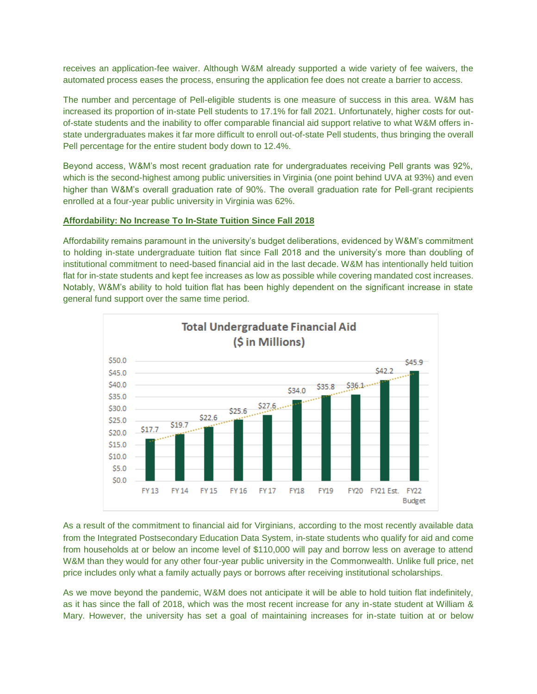receives an application-fee waiver. Although W&M already supported a wide variety of fee waivers, the automated process eases the process, ensuring the application fee does not create a barrier to access.

The number and percentage of Pell-eligible students is one measure of success in this area. W&M has increased its proportion of in-state Pell students to 17.1% for fall 2021. Unfortunately, higher costs for outof-state students and the inability to offer comparable financial aid support relative to what W&M offers instate undergraduates makes it far more difficult to enroll out-of-state Pell students, thus bringing the overall Pell percentage for the entire student body down to 12.4%.

Beyond access, W&M's most recent graduation rate for undergraduates receiving Pell grants was 92%, which is the second-highest among public universities in Virginia (one point behind UVA at 93%) and even higher than W&M's overall graduation rate of 90%. The overall graduation rate for Pell-grant recipients enrolled at a four-year public university in Virginia was 62%.

### **Affordability: No Increase To In-State Tuition Since Fall 2018**

Affordability remains paramount in the university's budget deliberations, evidenced by W&M's commitment to holding in-state undergraduate tuition flat since Fall 2018 and the university's more than doubling of institutional commitment to need-based financial aid in the last decade. W&M has intentionally held tuition flat for in-state students and kept fee increases as low as possible while covering mandated cost increases. Notably, W&M's ability to hold tuition flat has been highly dependent on the significant increase in state general fund support over the same time period.



As a result of the commitment to financial aid for Virginians, according to the most recently available data from the Integrated Postsecondary Education Data System, in-state students who qualify for aid and come from households at or below an income level of \$110,000 will pay and borrow less on average to attend W&M than they would for any other four-year public university in the Commonwealth. Unlike full price, net price includes only what a family actually pays or borrows after receiving institutional scholarships.

As we move beyond the pandemic, W&M does not anticipate it will be able to hold tuition flat indefinitely, as it has since the fall of 2018, which was the most recent increase for any in-state student at William & Mary. However, the university has set a goal of maintaining increases for in-state tuition at or below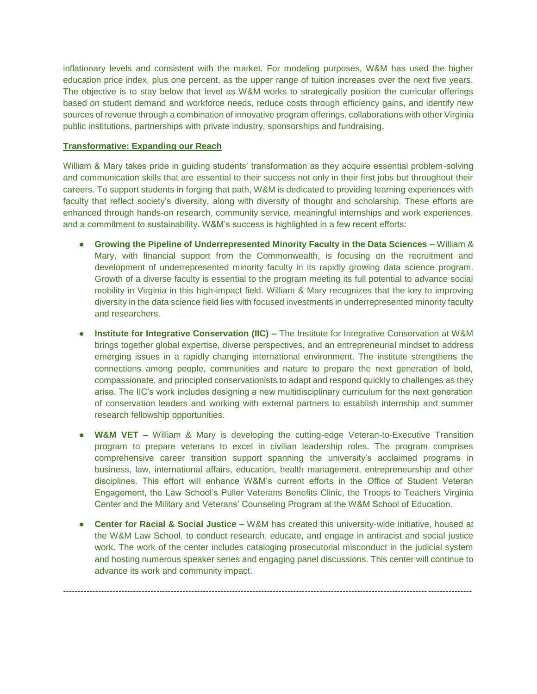inflationary levels and consistent with the market. For modeling purposes, W&M has used the higher education price index, plus one percent, as the upper range of tuition increases over the next five years. The objective is to stay below that level as W&M works to strategically position the curricular offerings based on student demand and workforce needs, reduce costs through efficiency gains, and identify new sources of revenue through a combination of innovative program offerings, collaborations with other Virginia public institutions, partnerships with private industry, sponsorships and fundraising.

### **Transformative: Expanding our Reach**

William & Mary takes pride in quiding students' transformation as they acquire essential problem-solving and communication skills that are essential to their success not only in their first jobs but throughout their careers. To support students in forging that path, W&M is dedicated to providing learning experiences with faculty that reflect society's diversity, along with diversity of thought and scholarship. These efforts are enhanced through hands-on research, community service, meaningful internships and work experiences, and a commitment to sustainability. W&M's success is highlighted in a few recent efforts:

- **Growing the Pipeline of Underrepresented Minority Faculty in the Data Sciences –** William & Mary, with financial support from the Commonwealth, is focusing on the recruitment and development of underrepresented minority faculty in its rapidly growing data science program. Growth of a diverse faculty is essential to the program meeting its full potential to advance social mobility in Virginia in this high-impact field. William & Mary recognizes that the key to improving diversity in the data science field lies with focused investments in underrepresented minority faculty and researchers.
- **Institute for Integrative Conservation (IIC) The Institute for Integrative Conservation at W&M** brings together global expertise, diverse perspectives, and an entrepreneurial mindset to address emerging issues in a rapidly changing international environment. The institute strengthens the connections among people, communities and nature to prepare the next generation of bold, compassionate, and principled conservationists to adapt and respond quickly to challenges as they arise. The IIC's work includes designing a new multidisciplinary curriculum for the next generation of conservation leaders and working with external partners to establish internship and summer research fellowship opportunities.
- **W&M VET –** William & Mary is developing the cutting-edge Veteran-to-Executive Transition program to prepare veterans to excel in civilian leadership roles. The program comprises comprehensive career transition support spanning the university's acclaimed programs in business, law, international affairs, education, health management, entrepreneurship and other disciplines. This effort will enhance W&M's current efforts in the Office of Student Veteran Engagement, the Law School's Puller Veterans Benefits Clinic, the Troops to Teachers Virginia Center and the Military and Veterans' Counseling Program at the W&M School of Education.
- **Center for Racial & Social Justice –** W&M has created this university-wide initiative, housed at the W&M Law School, to conduct research, educate, and engage in antiracist and social justice work. The work of the center includes cataloging prosecutorial misconduct in the judicial system and hosting numerous speaker series and engaging panel discussions. This center will continue to advance its work and community impact.

--------------------------------------------------------------------------------------------------------------------------------------------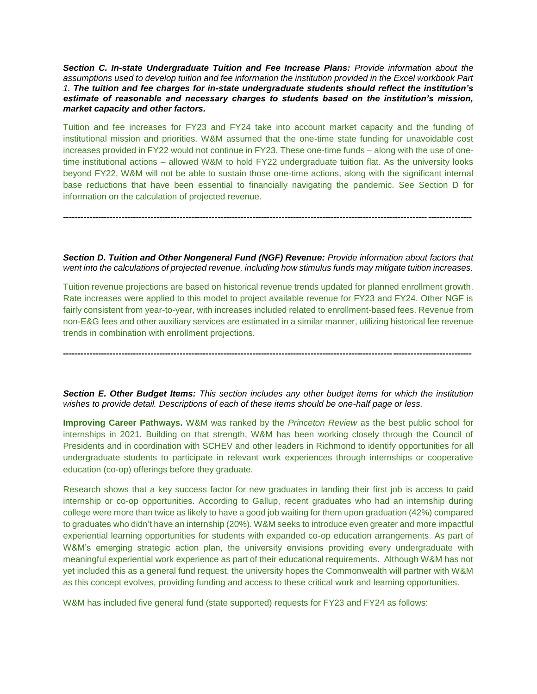*Section C. In-state Undergraduate Tuition and Fee Increase Plans: Provide information about the assumptions used to develop tuition and fee information the institution provided in the Excel workbook Part 1. The tuition and fee charges for in-state undergraduate students should reflect the institution's estimate of reasonable and necessary charges to students based on the institution's mission, market capacity and other factors.* 

Tuition and fee increases for FY23 and FY24 take into account market capacity and the funding of institutional mission and priorities. W&M assumed that the one-time state funding for unavoidable cost increases provided in FY22 would not continue in FY23. These one-time funds – along with the use of onetime institutional actions – allowed W&M to hold FY22 undergraduate tuition flat. As the university looks beyond FY22, W&M will not be able to sustain those one-time actions, along with the significant internal base reductions that have been essential to financially navigating the pandemic. See Section D for information on the calculation of projected revenue.

*Section D. Tuition and Other Nongeneral Fund (NGF) Revenue: Provide information about factors that went into the calculations of projected revenue, including how stimulus funds may mitigate tuition increases.* 

**--------------------------------------------------------------------------------------------------------------------------------------------**

Tuition revenue projections are based on historical revenue trends updated for planned enrollment growth. Rate increases were applied to this model to project available revenue for FY23 and FY24. Other NGF is fairly consistent from year-to-year, with increases included related to enrollment-based fees. Revenue from non-E&G fees and other auxiliary services are estimated in a similar manner, utilizing historical fee revenue trends in combination with enrollment projections.

**--------------------------------------------------------------------------------------------------------------------------------------------**

*Section E. Other Budget Items: This section includes any other budget items for which the institution wishes to provide detail. Descriptions of each of these items should be one-half page or less.* 

**Improving Career Pathways.** W&M was ranked by the *Princeton Review* as the best public school for internships in 2021. Building on that strength, W&M has been working closely through the Council of Presidents and in coordination with SCHEV and other leaders in Richmond to identify opportunities for all undergraduate students to participate in relevant work experiences through internships or cooperative education (co-op) offerings before they graduate.

Research shows that a key success factor for new graduates in landing their first job is access to paid internship or co-op opportunities. According to Gallup, recent graduates who had an internship during college were more than twice as likely to have a good job waiting for them upon graduation (42%) compared to graduates who didn't have an internship (20%). W&M seeks to introduce even greater and more impactful experiential learning opportunities for students with expanded co-op education arrangements. As part of W&M's emerging strategic action plan, the university envisions providing every undergraduate with meaningful experiential work experience as part of their educational requirements. Although W&M has not yet included this as a general fund request, the university hopes the Commonwealth will partner with W&M as this concept evolves, providing funding and access to these critical work and learning opportunities.

W&M has included five general fund (state supported) requests for FY23 and FY24 as follows: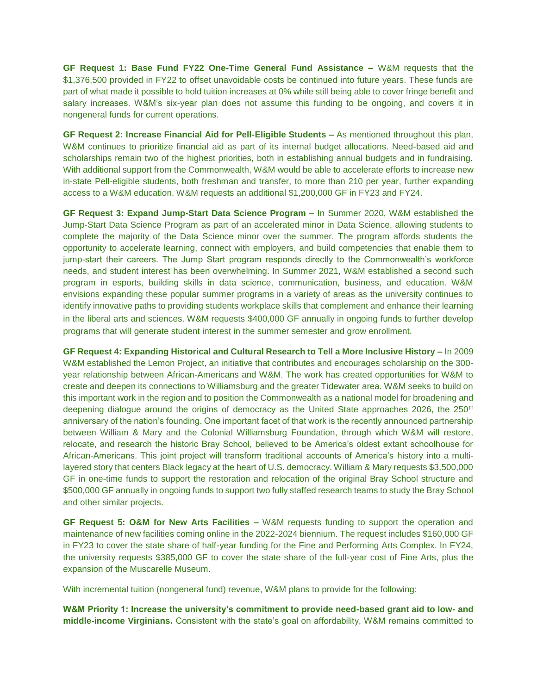**GF Request 1: Base Fund FY22 One-Time General Fund Assistance –** W&M requests that the \$1,376,500 provided in FY22 to offset unavoidable costs be continued into future years. These funds are part of what made it possible to hold tuition increases at 0% while still being able to cover fringe benefit and salary increases. W&M's six-year plan does not assume this funding to be ongoing, and covers it in nongeneral funds for current operations.

**GF Request 2: Increase Financial Aid for Pell-Eligible Students –** As mentioned throughout this plan, W&M continues to prioritize financial aid as part of its internal budget allocations. Need-based aid and scholarships remain two of the highest priorities, both in establishing annual budgets and in fundraising. With additional support from the Commonwealth, W&M would be able to accelerate efforts to increase new in-state Pell-eligible students, both freshman and transfer, to more than 210 per year, further expanding access to a W&M education. W&M requests an additional \$1,200,000 GF in FY23 and FY24.

**GF Request 3: Expand Jump-Start Data Science Program –** In Summer 2020, W&M established the Jump-Start Data Science Program as part of an accelerated minor in Data Science, allowing students to complete the majority of the Data Science minor over the summer. The program affords students the opportunity to accelerate learning, connect with employers, and build competencies that enable them to jump-start their careers. The Jump Start program responds directly to the Commonwealth's workforce needs, and student interest has been overwhelming. In Summer 2021, W&M established a second such program in esports, building skills in data science, communication, business, and education. W&M envisions expanding these popular summer programs in a variety of areas as the university continues to identify innovative paths to providing students workplace skills that complement and enhance their learning in the liberal arts and sciences. W&M requests \$400,000 GF annually in ongoing funds to further develop programs that will generate student interest in the summer semester and grow enrollment.

**GF Request 4: Expanding Historical and Cultural Research to Tell a More Inclusive History –** In 2009 W&M established the Lemon Project, an initiative that contributes and encourages scholarship on the 300 year relationship between African-Americans and W&M. The work has created opportunities for W&M to create and deepen its connections to Williamsburg and the greater Tidewater area. W&M seeks to build on this important work in the region and to position the Commonwealth as a national model for broadening and deepening dialogue around the origins of democracy as the United State approaches 2026, the 250<sup>th</sup> anniversary of the nation's founding. One important facet of that work is the recently announced partnership between William & Mary and the Colonial Williamsburg Foundation, through which W&M will restore, relocate, and research the historic Bray School, believed to be America's oldest extant schoolhouse for African-Americans. This joint project will transform traditional accounts of America's history into a multilayered story that centers Black legacy at the heart of U.S. democracy. William & Mary requests \$3,500,000 GF in one-time funds to support the restoration and relocation of the original Bray School structure and \$500,000 GF annually in ongoing funds to support two fully staffed research teams to study the Bray School and other similar projects.

**GF Request 5: O&M for New Arts Facilities –** W&M requests funding to support the operation and maintenance of new facilities coming online in the 2022-2024 biennium. The request includes \$160,000 GF in FY23 to cover the state share of half-year funding for the Fine and Performing Arts Complex. In FY24, the university requests \$385,000 GF to cover the state share of the full-year cost of Fine Arts, plus the expansion of the Muscarelle Museum.

With incremental tuition (nongeneral fund) revenue, W&M plans to provide for the following:

**W&M Priority 1: Increase the university's commitment to provide need-based grant aid to low- and middle-income Virginians.** Consistent with the state's goal on affordability, W&M remains committed to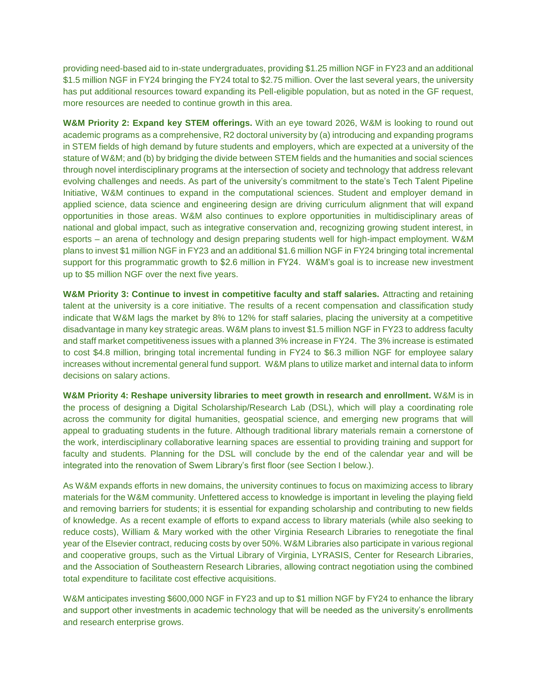providing need-based aid to in-state undergraduates, providing \$1.25 million NGF in FY23 and an additional \$1.5 million NGF in FY24 bringing the FY24 total to \$2.75 million. Over the last several years, the university has put additional resources toward expanding its Pell-eligible population, but as noted in the GF request, more resources are needed to continue growth in this area.

**W&M Priority 2: Expand key STEM offerings.** With an eye toward 2026, W&M is looking to round out academic programs as a comprehensive, R2 doctoral university by (a) introducing and expanding programs in STEM fields of high demand by future students and employers, which are expected at a university of the stature of W&M; and (b) by bridging the divide between STEM fields and the humanities and social sciences through novel interdisciplinary programs at the intersection of society and technology that address relevant evolving challenges and needs. As part of the university's commitment to the state's Tech Talent Pipeline Initiative, W&M continues to expand in the computational sciences. Student and employer demand in applied science, data science and engineering design are driving curriculum alignment that will expand opportunities in those areas. W&M also continues to explore opportunities in multidisciplinary areas of national and global impact, such as integrative conservation and, recognizing growing student interest, in esports – an arena of technology and design preparing students well for high-impact employment. W&M plans to invest \$1 million NGF in FY23 and an additional \$1.6 million NGF in FY24 bringing total incremental support for this programmatic growth to \$2.6 million in FY24. W&M's goal is to increase new investment up to \$5 million NGF over the next five years.

**W&M Priority 3: Continue to invest in competitive faculty and staff salaries.** Attracting and retaining talent at the university is a core initiative. The results of a recent compensation and classification study indicate that W&M lags the market by 8% to 12% for staff salaries, placing the university at a competitive disadvantage in many key strategic areas. W&M plans to invest \$1.5 million NGF in FY23 to address faculty and staff market competitiveness issues with a planned 3% increase in FY24. The 3% increase is estimated to cost \$4.8 million, bringing total incremental funding in FY24 to \$6.3 million NGF for employee salary increases without incremental general fund support. W&M plans to utilize market and internal data to inform decisions on salary actions.

**W&M Priority 4: Reshape university libraries to meet growth in research and enrollment.** W&M is in the process of designing a Digital Scholarship/Research Lab (DSL), which will play a coordinating role across the community for digital humanities, geospatial science, and emerging new programs that will appeal to graduating students in the future. Although traditional library materials remain a cornerstone of the work, interdisciplinary collaborative learning spaces are essential to providing training and support for faculty and students. Planning for the DSL will conclude by the end of the calendar year and will be integrated into the renovation of Swem Library's first floor (see Section I below.).

As W&M expands efforts in new domains, the university continues to focus on maximizing access to library materials for the W&M community. Unfettered access to knowledge is important in leveling the playing field and removing barriers for students; it is essential for expanding scholarship and contributing to new fields of knowledge. As a recent example of efforts to expand access to library materials (while also seeking to reduce costs), William & Mary worked with the other Virginia Research Libraries to renegotiate the final year of the Elsevier contract, reducing costs by over 50%. W&M Libraries also participate in various regional and cooperative groups, such as the Virtual Library of Virginia, LYRASIS, Center for Research Libraries, and the Association of Southeastern Research Libraries, allowing contract negotiation using the combined total expenditure to facilitate cost effective acquisitions.

W&M anticipates investing \$600,000 NGF in FY23 and up to \$1 million NGF by FY24 to enhance the library and support other investments in academic technology that will be needed as the university's enrollments and research enterprise grows.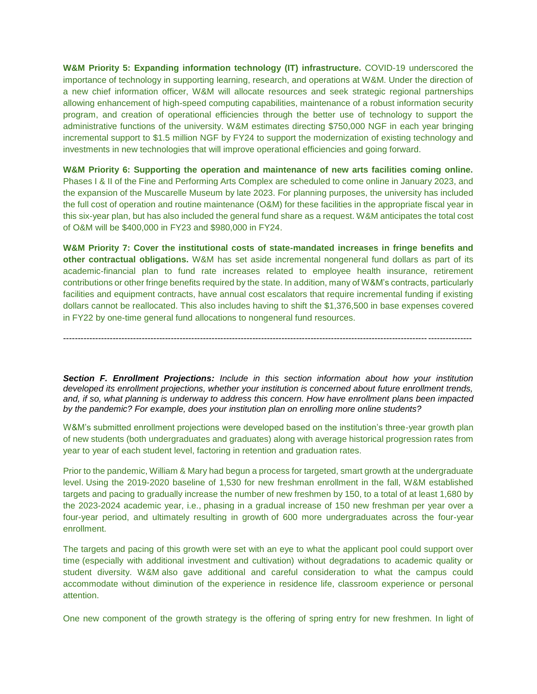**W&M Priority 5: Expanding information technology (IT) infrastructure.** COVID-19 underscored the importance of technology in supporting learning, research, and operations at W&M. Under the direction of a new chief information officer, W&M will allocate resources and seek strategic regional partnerships allowing enhancement of high-speed computing capabilities, maintenance of a robust information security program, and creation of operational efficiencies through the better use of technology to support the administrative functions of the university. W&M estimates directing \$750,000 NGF in each year bringing incremental support to \$1.5 million NGF by FY24 to support the modernization of existing technology and investments in new technologies that will improve operational efficiencies and going forward.

**W&M Priority 6: Supporting the operation and maintenance of new arts facilities coming online.** Phases I & II of the Fine and Performing Arts Complex are scheduled to come online in January 2023, and the expansion of the Muscarelle Museum by late 2023. For planning purposes, the university has included the full cost of operation and routine maintenance (O&M) for these facilities in the appropriate fiscal year in this six-year plan, but has also included the general fund share as a request. W&M anticipates the total cost of O&M will be \$400,000 in FY23 and \$980,000 in FY24.

**W&M Priority 7: Cover the institutional costs of state-mandated increases in fringe benefits and other contractual obligations.** W&M has set aside incremental nongeneral fund dollars as part of its academic-financial plan to fund rate increases related to employee health insurance, retirement contributions or other fringe benefits required by the state. In addition, many of W&M's contracts, particularly facilities and equipment contracts, have annual cost escalators that require incremental funding if existing dollars cannot be reallocated. This also includes having to shift the \$1,376,500 in base expenses covered in FY22 by one-time general fund allocations to nongeneral fund resources.

*Section F. Enrollment Projections: Include in this section information about how your institution developed its enrollment projections, whether your institution is concerned about future enrollment trends, and, if so, what planning is underway to address this concern. How have enrollment plans been impacted by the pandemic? For example, does your institution plan on enrolling more online students?*

--------------------------------------------------------------------------------------------------------------------------------------------

W&M's submitted enrollment projections were developed based on the institution's three-year growth plan of new students (both undergraduates and graduates) along with average historical progression rates from year to year of each student level, factoring in retention and graduation rates.

Prior to the pandemic, William & Mary had begun a process for targeted, smart growth at the undergraduate level. Using the 2019-2020 baseline of 1,530 for new freshman enrollment in the fall, W&M established targets and pacing to gradually increase the number of new freshmen by 150, to a total of at least 1,680 by the 2023-2024 academic year, i.e., phasing in a gradual increase of 150 new freshman per year over a four-year period, and ultimately resulting in growth of 600 more undergraduates across the four-year enrollment.

The targets and pacing of this growth were set with an eye to what the applicant pool could support over time (especially with additional investment and cultivation) without degradations to academic quality or student diversity. W&M also gave additional and careful consideration to what the campus could accommodate without diminution of the experience in residence life, classroom experience or personal attention.

One new component of the growth strategy is the offering of spring entry for new freshmen. In light of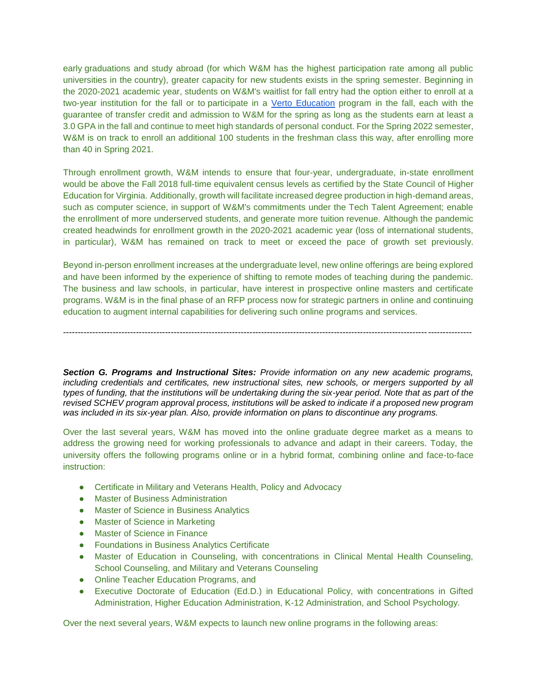early graduations and study abroad (for which W&M has the highest participation rate among all public universities in the country), greater capacity for new students exists in the spring semester. Beginning in the 2020-2021 academic year, students on W&M's waitlist for fall entry had the option either to enroll at a two-year institution for the fall or to participate in a [Verto Education](https://vertoeducation.org/) program in the fall, each with the guarantee of transfer credit and admission to W&M for the spring as long as the students earn at least a 3.0 GPA in the fall and continue to meet high standards of personal conduct. For the Spring 2022 semester, W&M is on track to enroll an additional 100 students in the freshman class this way, after enrolling more than 40 in Spring 2021.

Through enrollment growth, W&M intends to ensure that four-year, undergraduate, in-state enrollment would be above the Fall 2018 full-time equivalent census levels as certified by the State Council of Higher Education for Virginia. Additionally, growth will facilitate increased degree production in high-demand areas, such as computer science, in support of W&M's commitments under the Tech Talent Agreement; enable the enrollment of more underserved students, and generate more tuition revenue. Although the pandemic created headwinds for enrollment growth in the 2020-2021 academic year (loss of international students, in particular), W&M has remained on track to meet or exceed the pace of growth set previously.

Beyond in-person enrollment increases at the undergraduate level, new online offerings are being explored and have been informed by the experience of shifting to remote modes of teaching during the pandemic. The business and law schools, in particular, have interest in prospective online masters and certificate programs. W&M is in the final phase of an RFP process now for strategic partners in online and continuing education to augment internal capabilities for delivering such online programs and services.

--------------------------------------------------------------------------------------------------------------------------------------------

*Section G. Programs and Instructional Sites: Provide information on any new academic programs,*  including credentials and certificates, new instructional sites, new schools, or mergers supported by all *types of funding, that the institutions will be undertaking during the six-year period. Note that as part of the revised SCHEV program approval process, institutions will be asked to indicate if a proposed new program was included in its six-year plan. Also, provide information on plans to discontinue any programs.* 

Over the last several years, W&M has moved into the online graduate degree market as a means to address the growing need for working professionals to advance and adapt in their careers. Today, the university offers the following programs online or in a hybrid format, combining online and face-to-face instruction:

- Certificate in Military and Veterans Health, Policy and Advocacy
- Master of Business Administration
- Master of Science in Business Analytics
- Master of Science in Marketing
- Master of Science in Finance
- Foundations in Business Analytics Certificate
- Master of Education in Counseling, with concentrations in Clinical Mental Health Counseling, School Counseling, and Military and Veterans Counseling
- Online Teacher Education Programs, and
- Executive Doctorate of Education (Ed.D.) in Educational Policy, with concentrations in Gifted Administration, Higher Education Administration, K-12 Administration, and School Psychology.

Over the next several years, W&M expects to launch new online programs in the following areas: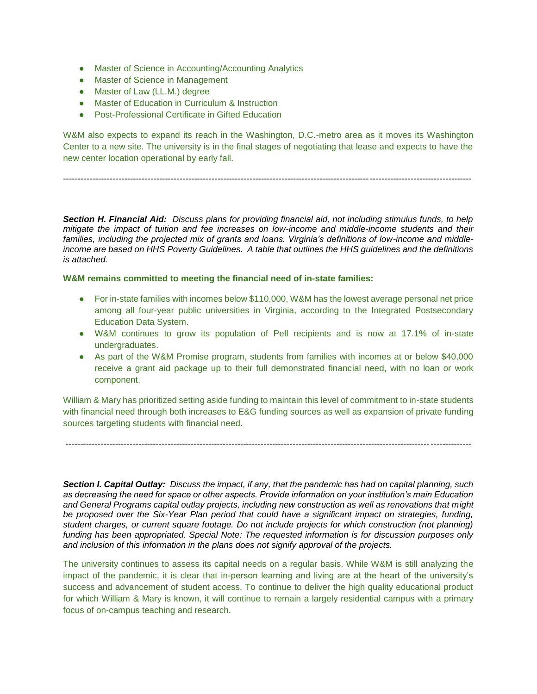- Master of Science in Accounting/Accounting Analytics
- Master of Science in Management
- Master of Law (LL.M.) degree
- Master of Education in Curriculum & Instruction
- Post-Professional Certificate in Gifted Education

W&M also expects to expand its reach in the Washington, D.C.-metro area as it moves its Washington Center to a new site. The university is in the final stages of negotiating that lease and expects to have the new center location operational by early fall.

--------------------------------------------------------------------------------------------------------------------------------------------

*Section H. Financial Aid: Discuss plans for providing financial aid, not including stimulus funds, to help mitigate the impact of tuition and fee increases on low-income and middle-income students and their families, including the projected mix of grants and loans. Virginia's definitions of low-income and middleincome are based on HHS Poverty Guidelines. A table that outlines the HHS guidelines and the definitions is attached.* 

**W&M remains committed to meeting the financial need of in-state families:**

- For in-state families with incomes below \$110,000, W&M has the lowest average personal net price among all four-year public universities in Virginia, according to the Integrated Postsecondary Education Data System.
- W&M continues to grow its population of Pell recipients and is now at 17.1% of in-state undergraduates.
- As part of the W&M Promise program, students from families with incomes at or below \$40,000 receive a grant aid package up to their full demonstrated financial need, with no loan or work component.

William & Mary has prioritized setting aside funding to maintain this level of commitment to in-state students with financial need through both increases to E&G funding sources as well as expansion of private funding sources targeting students with financial need.

-------------------------------------------------------------------------------------------------------------------------------------------

*Section I. Capital Outlay: Discuss the impact, if any, that the pandemic has had on capital planning, such as decreasing the need for space or other aspects. Provide information on your institution's main Education and General Programs capital outlay projects, including new construction as well as renovations that might be proposed over the Six-Year Plan period that could have a significant impact on strategies, funding, student charges, or current square footage. Do not include projects for which construction (not planning)*  funding has been appropriated. Special Note: The requested information is for discussion purposes only *and inclusion of this information in the plans does not signify approval of the projects.* 

The university continues to assess its capital needs on a regular basis. While W&M is still analyzing the impact of the pandemic, it is clear that in-person learning and living are at the heart of the university's success and advancement of student access. To continue to deliver the high quality educational product for which William & Mary is known, it will continue to remain a largely residential campus with a primary focus of on-campus teaching and research.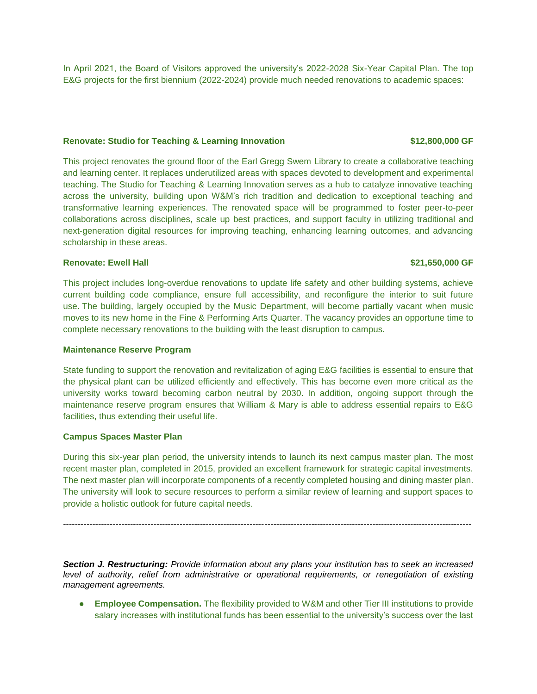In April 2021, the Board of Visitors approved the university's 2022-2028 Six-Year Capital Plan. The top E&G projects for the first biennium (2022-2024) provide much needed renovations to academic spaces:

#### **Renovate: Studio for Teaching & Learning Innovation \$12,800,000 GF**

This project renovates the ground floor of the Earl Gregg Swem Library to create a collaborative teaching and learning center. It replaces underutilized areas with spaces devoted to development and experimental teaching. The Studio for Teaching & Learning Innovation serves as a hub to catalyze innovative teaching across the university, building upon W&M's rich tradition and dedication to exceptional teaching and transformative learning experiences. The renovated space will be programmed to foster peer-to-peer collaborations across disciplines, scale up best practices, and support faculty in utilizing traditional and next-generation digital resources for improving teaching, enhancing learning outcomes, and advancing scholarship in these areas.

### **Renovate: Ewell Hall \$21,650,000 GF**

This project includes long-overdue renovations to update life safety and other building systems, achieve current building code compliance, ensure full accessibility, and reconfigure the interior to suit future use. The building, largely occupied by the Music Department, will become partially vacant when music moves to its new home in the Fine & Performing Arts Quarter. The vacancy provides an opportune time to complete necessary renovations to the building with the least disruption to campus.

### **Maintenance Reserve Program**

State funding to support the renovation and revitalization of aging E&G facilities is essential to ensure that the physical plant can be utilized efficiently and effectively. This has become even more critical as the university works toward becoming carbon neutral by 2030. In addition, ongoing support through the maintenance reserve program ensures that William & Mary is able to address essential repairs to E&G facilities, thus extending their useful life.

### **Campus Spaces Master Plan**

During this six-year plan period, the university intends to launch its next campus master plan. The most recent master plan, completed in 2015, provided an excellent framework for strategic capital investments. The next master plan will incorporate components of a recently completed housing and dining master plan. The university will look to secure resources to perform a similar review of learning and support spaces to provide a holistic outlook for future capital needs.

--------------------------------------------------------------------------------------------------------------------------------------------

*Section J. Restructuring: Provide information about any plans your institution has to seek an increased level of authority, relief from administrative or operational requirements, or renegotiation of existing management agreements.*

**Employee Compensation.** The flexibility provided to W&M and other Tier III institutions to provide salary increases with institutional funds has been essential to the university's success over the last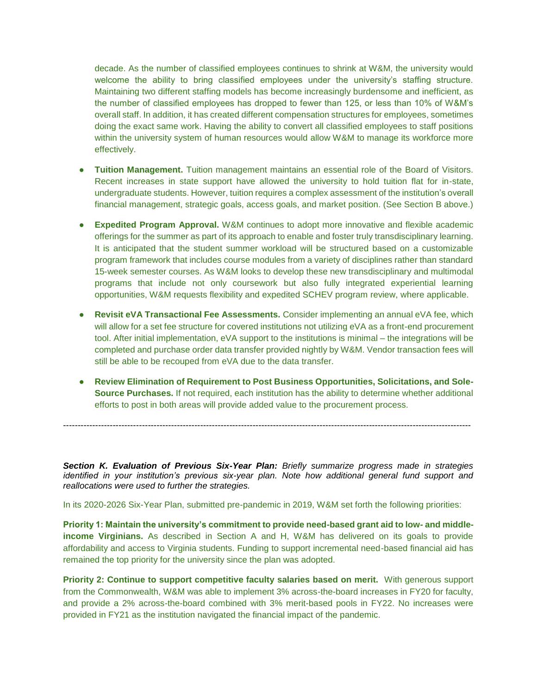decade. As the number of classified employees continues to shrink at W&M, the university would welcome the ability to bring classified employees under the university's staffing structure. Maintaining two different staffing models has become increasingly burdensome and inefficient, as the number of classified employees has dropped to fewer than 125, or less than 10% of W&M's overall staff. In addition, it has created different compensation structures for employees, sometimes doing the exact same work. Having the ability to convert all classified employees to staff positions within the university system of human resources would allow W&M to manage its workforce more effectively.

- **Tuition Management.** Tuition management maintains an essential role of the Board of Visitors. Recent increases in state support have allowed the university to hold tuition flat for in-state, undergraduate students. However, tuition requires a complex assessment of the institution's overall financial management, strategic goals, access goals, and market position. (See Section B above.)
- **Expedited Program Approval.** W&M continues to adopt more innovative and flexible academic offerings for the summer as part of its approach to enable and foster truly transdisciplinary learning. It is anticipated that the student summer workload will be structured based on a customizable program framework that includes course modules from a variety of disciplines rather than standard 15-week semester courses. As W&M looks to develop these new transdisciplinary and multimodal programs that include not only coursework but also fully integrated experiential learning opportunities, W&M requests flexibility and expedited SCHEV program review, where applicable.
- **Revisit eVA Transactional Fee Assessments.** Consider implementing an annual eVA fee, which will allow for a set fee structure for covered institutions not utilizing eVA as a front-end procurement tool. After initial implementation, eVA support to the institutions is minimal – the integrations will be completed and purchase order data transfer provided nightly by W&M. Vendor transaction fees will still be able to be recouped from eVA due to the data transfer.
- **Review Elimination of Requirement to Post Business Opportunities, Solicitations, and Sole-Source Purchases.** If not required, each institution has the ability to determine whether additional efforts to post in both areas will provide added value to the procurement process.

*Section K. Evaluation of Previous Six-Year Plan: Briefly summarize progress made in strategies*  identified in your institution's previous six-year plan. Note how additional general fund support and *reallocations were used to further the strategies.*

--------------------------------------------------------------------------------------------------------------------------------------------

In its 2020-2026 Six-Year Plan, submitted pre-pandemic in 2019, W&M set forth the following priorities:

**Priority 1: Maintain the university's commitment to provide need-based grant aid to low- and middleincome Virginians.** As described in Section A and H, W&M has delivered on its goals to provide affordability and access to Virginia students. Funding to support incremental need-based financial aid has remained the top priority for the university since the plan was adopted.

**Priority 2: Continue to support competitive faculty salaries based on merit.** With generous support from the Commonwealth, W&M was able to implement 3% across-the-board increases in FY20 for faculty, and provide a 2% across-the-board combined with 3% merit-based pools in FY22. No increases were provided in FY21 as the institution navigated the financial impact of the pandemic.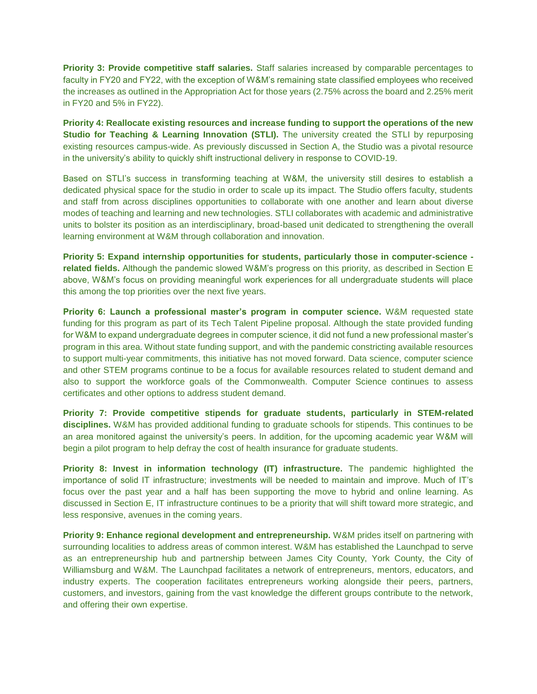**Priority 3: Provide competitive staff salaries.** Staff salaries increased by comparable percentages to faculty in FY20 and FY22, with the exception of W&M's remaining state classified employees who received the increases as outlined in the Appropriation Act for those years (2.75% across the board and 2.25% merit in FY20 and 5% in FY22).

**Priority 4: Reallocate existing resources and increase funding to support the operations of the new Studio for Teaching & Learning Innovation (STLI).** The university created the STLI by repurposing existing resources campus-wide. As previously discussed in Section A, the Studio was a pivotal resource in the university's ability to quickly shift instructional delivery in response to COVID-19.

Based on STLI's success in transforming teaching at W&M, the university still desires to establish a dedicated physical space for the studio in order to scale up its impact. The Studio offers faculty, students and staff from across disciplines opportunities to collaborate with one another and learn about diverse modes of teaching and learning and new technologies. STLI collaborates with academic and administrative units to bolster its position as an interdisciplinary, broad-based unit dedicated to strengthening the overall learning environment at W&M through collaboration and innovation.

**Priority 5: Expand internship opportunities for students, particularly those in computer-science related fields.** Although the pandemic slowed W&M's progress on this priority, as described in Section E above, W&M's focus on providing meaningful work experiences for all undergraduate students will place this among the top priorities over the next five years.

**Priority 6: Launch a professional master's program in computer science.** W&M requested state funding for this program as part of its Tech Talent Pipeline proposal. Although the state provided funding for W&M to expand undergraduate degrees in computer science, it did not fund a new professional master's program in this area. Without state funding support, and with the pandemic constricting available resources to support multi-year commitments, this initiative has not moved forward. Data science, computer science and other STEM programs continue to be a focus for available resources related to student demand and also to support the workforce goals of the Commonwealth. Computer Science continues to assess certificates and other options to address student demand.

**Priority 7: Provide competitive stipends for graduate students, particularly in STEM-related disciplines.** W&M has provided additional funding to graduate schools for stipends. This continues to be an area monitored against the university's peers. In addition, for the upcoming academic year W&M will begin a pilot program to help defray the cost of health insurance for graduate students.

**Priority 8: Invest in information technology (IT) infrastructure.** The pandemic highlighted the importance of solid IT infrastructure; investments will be needed to maintain and improve. Much of IT's focus over the past year and a half has been supporting the move to hybrid and online learning. As discussed in Section E, IT infrastructure continues to be a priority that will shift toward more strategic, and less responsive, avenues in the coming years.

**Priority 9: Enhance regional development and entrepreneurship.** W&M prides itself on partnering with surrounding localities to address areas of common interest. W&M has established the Launchpad to serve as an entrepreneurship hub and partnership between James City County, York County, the City of Williamsburg and W&M. The Launchpad facilitates a network of entrepreneurs, mentors, educators, and industry experts. The cooperation facilitates entrepreneurs working alongside their peers, partners, customers, and investors, gaining from the vast knowledge the different groups contribute to the network, and offering their own expertise.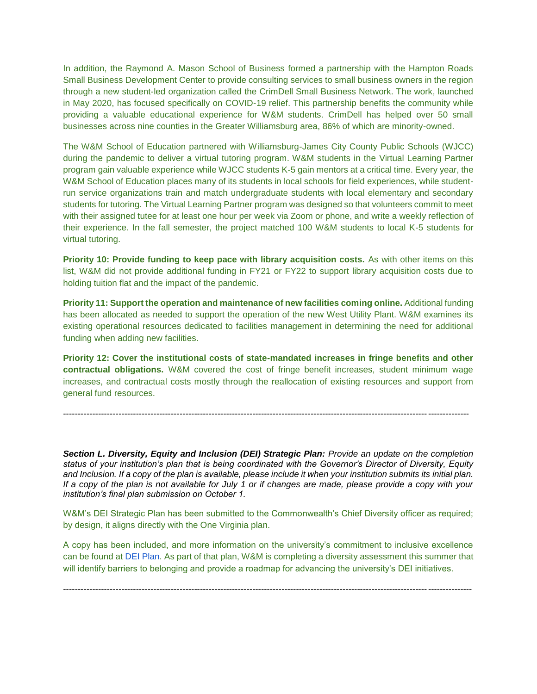In addition, the Raymond A. Mason School of Business formed a partnership with the Hampton Roads Small Business Development Center to provide consulting services to small business owners in the region through a new student-led organization called the CrimDell Small Business Network. The work, launched in May 2020, has focused specifically on COVID-19 relief. This partnership benefits the community while providing a valuable educational experience for W&M students. CrimDell has helped over 50 small businesses across nine counties in the Greater Williamsburg area, 86% of which are minority-owned.

The W&M School of Education partnered with Williamsburg-James City County Public Schools (WJCC) during the pandemic to deliver a virtual tutoring program. W&M students in the Virtual Learning Partner program gain valuable experience while WJCC students K-5 gain mentors at a critical time. Every year, the W&M School of Education places many of its students in local schools for field experiences, while studentrun service organizations train and match undergraduate students with local elementary and secondary students for tutoring. The Virtual Learning Partner program was designed so that volunteers commit to meet with their assigned tutee for at least one hour per week via Zoom or phone, and write a weekly reflection of their experience. In the fall semester, the project matched 100 W&M students to local K-5 students for virtual tutoring.

**Priority 10: Provide funding to keep pace with library acquisition costs.** As with other items on this list, W&M did not provide additional funding in FY21 or FY22 to support library acquisition costs due to holding tuition flat and the impact of the pandemic.

**Priority 11: Support the operation and maintenance of new facilities coming online.** Additional funding has been allocated as needed to support the operation of the new West Utility Plant. W&M examines its existing operational resources dedicated to facilities management in determining the need for additional funding when adding new facilities.

**Priority 12: Cover the institutional costs of state-mandated increases in fringe benefits and other contractual obligations.** W&M covered the cost of fringe benefit increases, student minimum wage increases, and contractual costs mostly through the reallocation of existing resources and support from general fund resources.

-------------------------------------------------------------------------------------------------------------------------------------------

*Section L. Diversity, Equity and Inclusion (DEI) Strategic Plan: Provide an update on the completion status of your institution's plan that is being coordinated with the Governor's Director of Diversity, Equity and Inclusion. If a copy of the plan is available, please include it when your institution submits its initial plan. If a copy of the plan is not available for July 1 or if changes are made, please provide a copy with your institution's final plan submission on October 1.*

W&M's DEI Strategic Plan has been submitted to the Commonwealth's Chief Diversity officer as required; by design, it aligns directly with the One Virginia plan.

A copy has been included, and more information on the university's commitment to inclusive excellence can be found at [DEI Plan.](http://www.wm.edu/offices/diversity/inclusive-excellence/index.php) As part of that plan, W&M is completing a diversity assessment this summer that will identify barriers to belonging and provide a roadmap for advancing the university's DEI initiatives.

--------------------------------------------------------------------------------------------------------------------------------------------